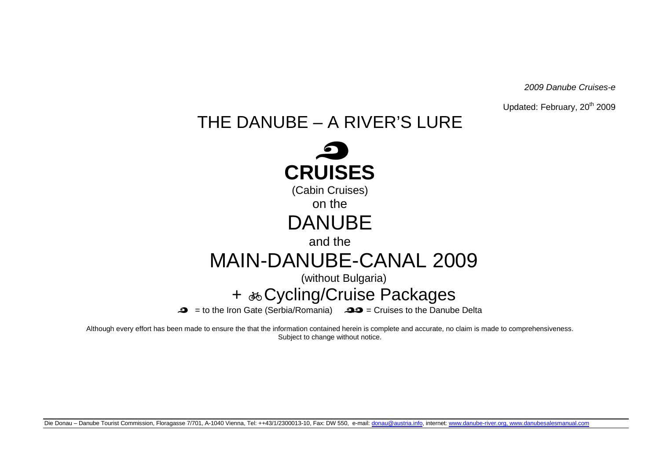2009 Danube Cruises-e

Updated: February, 20<sup>th</sup> 2009

# THE DANUBE – A RIVER'S LURE



 $\bullet$  = to the Iron Gate (Serbia/Romania)  $\bullet$  = Cruises to the Danube Delta

Although every effort has been made to ensure the that the information contained herein is complete and accurate, no claim is made to comprehensiveness. Subject to change without notice.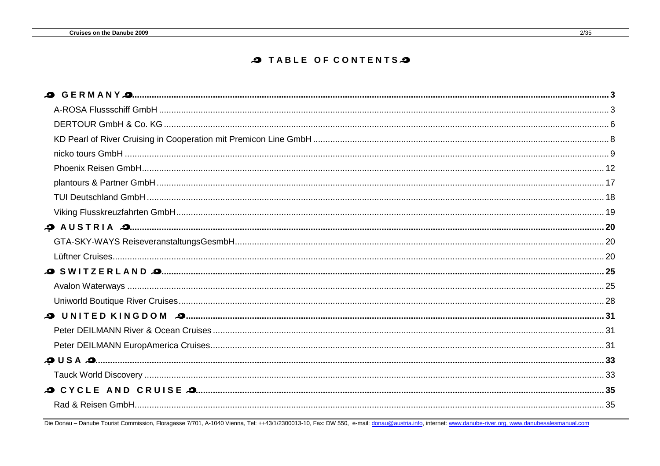#### **O TABLE OF CONTENTS**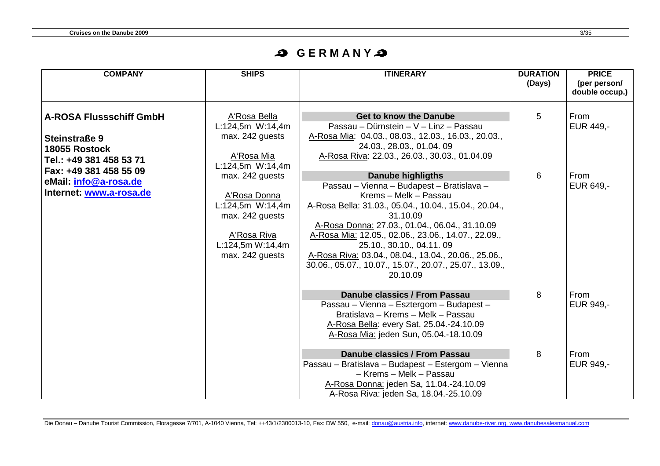## **S** GERMANYS

| <b>COMPANY</b>                                                                                     | <b>SHIPS</b>                                                                                                                                     | <b>ITINERARY</b>                                                                                                                                                                                                                                                                                                                                                                                                                         | <b>DURATION</b><br>(Days) | <b>PRICE</b><br>(per person/<br>double occup.) |
|----------------------------------------------------------------------------------------------------|--------------------------------------------------------------------------------------------------------------------------------------------------|------------------------------------------------------------------------------------------------------------------------------------------------------------------------------------------------------------------------------------------------------------------------------------------------------------------------------------------------------------------------------------------------------------------------------------------|---------------------------|------------------------------------------------|
| <b>A-ROSA Flussschiff GmbH</b><br><b>Steinstraße 9</b><br>18055 Rostock<br>Tel.: +49 381 458 53 71 | A'Rosa Bella<br>L:124,5m W:14,4m<br>max. 242 guests<br>A'Rosa Mia                                                                                | <b>Get to know the Danube</b><br>Passau – Dürnstein – V – Linz – Passau<br>A-Rosa Mia: 04.03., 08.03., 12.03., 16.03., 20.03.,<br>24.03., 28.03., 01.04. 09<br>A-Rosa Riva: 22.03., 26.03., 30.03., 01.04.09                                                                                                                                                                                                                             | 5                         | From<br>EUR 449,-                              |
| Fax: +49 381 458 55 09<br>eMail: info@a-rosa.de<br>Internet: www.a-rosa.de                         | L:124,5m W:14,4m<br>max. 242 guests<br>A'Rosa Donna<br>L:124,5m W:14,4m<br>max. 242 guests<br>A'Rosa Riva<br>L:124,5m W:14,4m<br>max. 242 guests | <b>Danube highligths</b><br>Passau - Vienna - Budapest - Bratislava -<br>Krems - Melk - Passau<br>A-Rosa Bella: 31.03., 05.04., 10.04., 15.04., 20.04.,<br>31.10.09<br>A-Rosa Donna: 27.03., 01.04., 06.04., 31.10.09<br>A-Rosa Mia: 12.05., 02.06., 23.06., 14.07., 22.09.,<br>25.10., 30.10., 04.11. 09<br>A-Rosa Riva: 03.04., 08.04., 13.04., 20.06., 25.06.,<br>30.06., 05.07., 10.07., 15.07., 20.07., 25.07., 13.09.,<br>20.10.09 | 6                         | <b>From</b><br>EUR 649,-                       |
|                                                                                                    |                                                                                                                                                  | Danube classics / From Passau<br>Passau - Vienna - Esztergom - Budapest -<br>Bratislava - Krems - Melk - Passau<br>A-Rosa Bella: every Sat, 25.04.-24.10.09<br>A-Rosa Mia: jeden Sun, 05.04.-18.10.09                                                                                                                                                                                                                                    | 8                         | From<br><b>EUR 949,-</b>                       |
|                                                                                                    |                                                                                                                                                  | Danube classics / From Passau<br>Passau - Bratislava - Budapest - Estergom - Vienna<br>- Krems - Melk - Passau<br>A-Rosa Donna: jeden Sa, 11.04.-24.10.09<br>A-Rosa Riva: jeden Sa, 18.04.-25.10.09                                                                                                                                                                                                                                      | 8                         | From<br>EUR 949,-                              |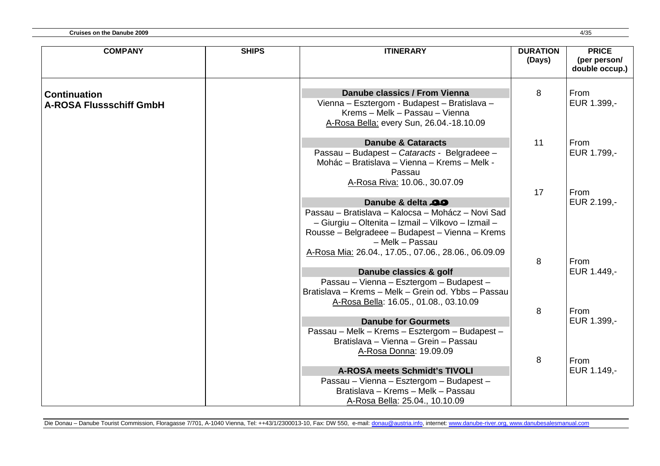| <b>COMPANY</b>                                        | <b>SHIPS</b> | <b>ITINERARY</b>                                                                                                                                                                                                            | <b>DURATION</b><br>(Days) | <b>PRICE</b><br>(per person/<br>double occup.) |
|-------------------------------------------------------|--------------|-----------------------------------------------------------------------------------------------------------------------------------------------------------------------------------------------------------------------------|---------------------------|------------------------------------------------|
| <b>Continuation</b><br><b>A-ROSA Flussschiff GmbH</b> |              | Danube classics / From Vienna<br>Vienna - Esztergom - Budapest - Bratislava -<br>Krems - Melk - Passau - Vienna<br>A-Rosa Bella: every Sun, 26.04.-18.10.09                                                                 | 8                         | <b>From</b><br>EUR 1.399,-                     |
|                                                       |              | <b>Danube &amp; Cataracts</b><br>Passau - Budapest - Cataracts - Belgradeee -<br>Mohác - Bratislava - Vienna - Krems - Melk -<br>Passau<br>A-Rosa Riva: 10.06., 30.07.09                                                    | 11                        | From<br>EUR 1.799,-                            |
|                                                       |              | Danube & delta 29<br>Passau - Bratislava - Kalocsa - Mohácz - Novi Sad<br>- Giurgiu - Oltenita - Izmail - Vilkovo - Izmail -<br>Rousse - Belgradeee - Budapest - Vienna - Krems<br>- Melk - Passau                          | 17                        | <b>From</b><br>EUR 2.199,-                     |
|                                                       |              | A-Rosa Mia: 26.04., 17.05., 07.06., 28.06., 06.09.09<br>Danube classics & golf<br>Passau - Vienna - Esztergom - Budapest -<br>Bratislava - Krems - Melk - Grein od. Ybbs - Passau<br>A-Rosa Bella: 16.05., 01.08., 03.10.09 | 8                         | <b>From</b><br>EUR 1.449,-                     |
|                                                       |              | <b>Danube for Gourmets</b><br>Passau - Melk - Krems - Esztergom - Budapest -<br>Bratislava – Vienna – Grein – Passau<br>A-Rosa Donna: 19.09.09                                                                              | 8                         | <b>From</b><br>EUR 1.399,-                     |
|                                                       |              | <b>A-ROSA meets Schmidt's TIVOLI</b><br>Passau - Vienna - Esztergom - Budapest -<br>Bratislava - Krems - Melk - Passau<br>A-Rosa Bella: 25.04., 10.10.09                                                                    | 8                         | <b>From</b><br>EUR 1.149,-                     |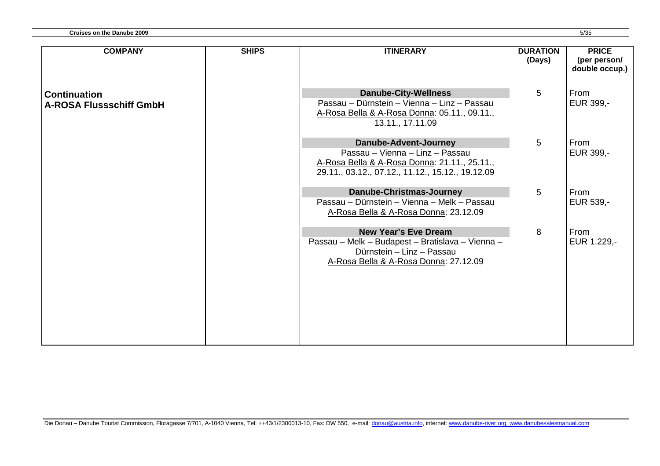| <b>Cruises on the Danube 2009</b> | 5/35 |
|-----------------------------------|------|
|-----------------------------------|------|

| <b>COMPANY</b>                                        | <b>SHIPS</b> | <b>ITINERARY</b>                                                                                                                                             | <b>DURATION</b><br>(Days) | <b>PRICE</b><br>(per person/<br>double occup.) |
|-------------------------------------------------------|--------------|--------------------------------------------------------------------------------------------------------------------------------------------------------------|---------------------------|------------------------------------------------|
| <b>Continuation</b><br><b>A-ROSA Flussschiff GmbH</b> |              | <b>Danube-City-Wellness</b><br>Passau - Dürnstein - Vienna - Linz - Passau<br>A-Rosa Bella & A-Rosa Donna: 05.11., 09.11.,<br>13.11., 17.11.09               | 5                         | From<br>EUR 399,-                              |
|                                                       |              | Danube-Advent-Journey<br>Passau - Vienna - Linz - Passau<br>A-Rosa Bella & A-Rosa Donna: 21.11., 25.11.,<br>29.11., 03.12., 07.12., 11.12., 15.12., 19.12.09 | 5                         | From<br>EUR 399,-                              |
|                                                       |              | <b>Danube-Christmas-Journey</b><br>Passau – Dürnstein – Vienna – Melk – Passau<br>A-Rosa Bella & A-Rosa Donna: 23.12.09                                      | 5                         | From<br>EUR 539,-                              |
|                                                       |              | <b>New Year's Eve Dream</b><br>Passau - Melk - Budapest - Bratislava - Vienna -<br>Dürnstein - Linz - Passau<br>A-Rosa Bella & A-Rosa Donna: 27.12.09        | 8                         | From<br>EUR 1.229,-                            |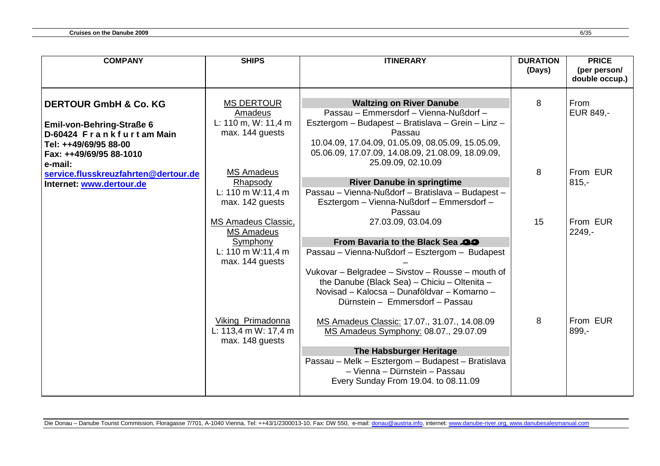| <b>COMPANY</b>                                                                                                              | <b>SHIPS</b>                                                                          | <b>ITINERARY</b>                                                                                                                                                                                                                                                                             | <b>DURATION</b><br>(Days) | <b>PRICE</b><br>(per person/<br>double occup.) |
|-----------------------------------------------------------------------------------------------------------------------------|---------------------------------------------------------------------------------------|----------------------------------------------------------------------------------------------------------------------------------------------------------------------------------------------------------------------------------------------------------------------------------------------|---------------------------|------------------------------------------------|
|                                                                                                                             |                                                                                       |                                                                                                                                                                                                                                                                                              |                           |                                                |
| <b>DERTOUR GmbH &amp; Co. KG</b>                                                                                            | <b>MS DERTOUR</b><br>Amadeus                                                          | <b>Waltzing on River Danube</b><br>Passau - Emmersdorf - Vienna-Nußdorf -                                                                                                                                                                                                                    | 8                         | <b>From</b><br>EUR 849,-                       |
| <b>Emil-von-Behring-Straße 6</b><br>D-60424 Frankfurtam Main<br>Tel: ++49/69/95 88-00<br>Fax: ++49/69/95 88-1010<br>e-mail: | L: 110 m, W: 11,4 m<br>max. 144 guests                                                | Esztergom – Budapest – Bratislava – Grein – Linz –<br>Passau<br>10.04.09, 17.04.09, 01.05.09, 08.05.09, 15.05.09,<br>05.06.09, 17.07.09, 14.08.09, 21.08.09, 18.09.09,<br>25.09.09, 02.10.09                                                                                                 |                           |                                                |
| service.flusskreuzfahrten@dertour.de                                                                                        | <b>MS Amadeus</b>                                                                     |                                                                                                                                                                                                                                                                                              | 8                         | From EUR                                       |
| Internet: www.dertour.de                                                                                                    | Rhapsody<br>L: 110 m W:11,4 m<br>max. 142 guests                                      | <b>River Danube in springtime</b><br>Passau - Vienna-Nußdorf - Bratislava - Budapest -<br>Esztergom - Vienna-Nußdorf - Emmersdorf -<br>Passau                                                                                                                                                |                           | $815,-$                                        |
|                                                                                                                             | MS Amadeus Classic,<br>MS Amadeus<br>Symphony<br>L: 110 m W:11,4 m<br>max. 144 guests | 27.03.09, 03.04.09<br>From Bavaria to the Black Sea<br>Passau - Vienna-Nußdorf - Esztergom - Budapest<br>Vukovar - Belgradee - Sivstov - Rousse - mouth of<br>the Danube (Black Sea) - Chiciu - Oltenita -<br>Novisad - Kalocsa - Dunaföldvar - Komarno -<br>Dürnstein - Emmersdorf - Passau | 15                        | From EUR<br>$2249 -$                           |
|                                                                                                                             | Viking Primadonna<br>L: 113,4 m W: 17,4 m<br>max. 148 guests                          | MS Amadeus Classic: 17.07., 31.07., 14.08.09<br>MS Amadeus Symphony: 08.07., 29.07.09<br>The Habsburger Heritage<br>Passau - Melk - Esztergom - Budapest - Bratislava<br>- Vienna - Dürnstein - Passau<br>Every Sunday From 19.04. to 08.11.09                                               | 8                         | From EUR<br>899,-                              |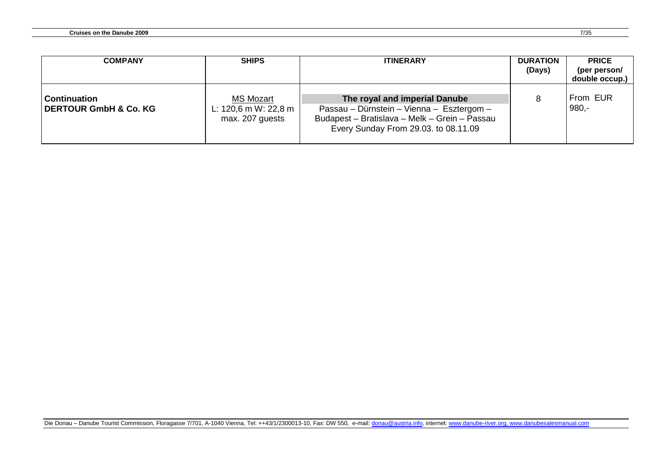| <b>COMPANY</b>                                          | <b>SHIPS</b>                                                | <b>ITINERARY</b>                                                                                                                                                    | <b>DURATION</b><br>(Days) | <b>PRICE</b><br>(per person/<br>double occup.) |
|---------------------------------------------------------|-------------------------------------------------------------|---------------------------------------------------------------------------------------------------------------------------------------------------------------------|---------------------------|------------------------------------------------|
| <b>Continuation</b><br><b>DERTOUR GmbH &amp; Co. KG</b> | <b>MS Mozart</b><br>L: 120,6 m W: 22,8 m<br>max. 207 guests | The royal and imperial Danube<br>Passau - Dürnstein - Vienna - Esztergom -<br>Budapest - Bratislava - Melk - Grein - Passau<br>Every Sunday From 29.03. to 08.11.09 |                           | From EUR<br>$980 -$                            |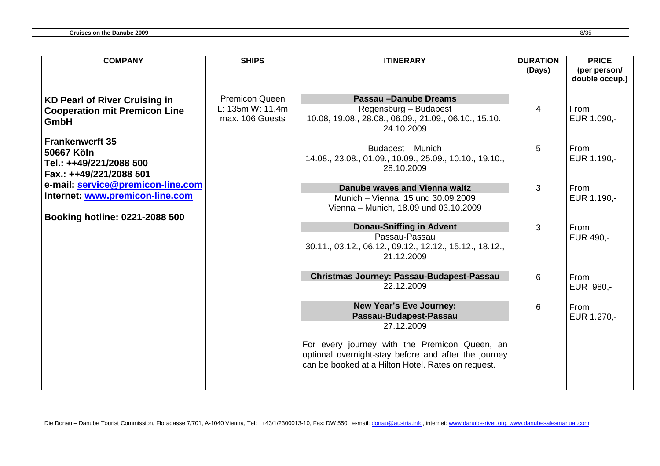| <b>COMPANY</b>                       | <b>SHIPS</b>                              | <b>ITINERARY</b>                                                                                           | <b>DURATION</b> | <b>PRICE</b>   |
|--------------------------------------|-------------------------------------------|------------------------------------------------------------------------------------------------------------|-----------------|----------------|
|                                      |                                           |                                                                                                            | (Days)          | (per person/   |
|                                      |                                           |                                                                                                            |                 | double occup.) |
|                                      |                                           |                                                                                                            |                 |                |
| <b>KD Pearl of River Cruising in</b> | <b>Premicon Queen</b><br>L: 135m W: 11,4m | <b>Passau-Danube Dreams</b>                                                                                |                 | From           |
| <b>Cooperation mit Premicon Line</b> | max. 106 Guests                           | Regensburg - Budapest<br>10.08, 19.08., 28.08., 06.09., 21.09., 06.10., 15.10.,                            | 4               | EUR 1.090,-    |
| GmbH                                 |                                           | 24.10.2009                                                                                                 |                 |                |
| <b>Frankenwerft 35</b>               |                                           |                                                                                                            |                 |                |
| 50667 Köln                           |                                           | Budapest - Munich                                                                                          | $\overline{5}$  | From           |
| Tel.: ++49/221/2088 500              |                                           | 14.08., 23.08., 01.09., 10.09., 25.09., 10.10., 19.10.,                                                    |                 | EUR 1.190,-    |
| Fax.: ++49/221/2088 501              |                                           | 28.10.2009                                                                                                 |                 |                |
| e-mail: service@premicon-line.com    |                                           |                                                                                                            |                 |                |
| Internet: www.premicon-line.com      |                                           | Danube waves and Vienna waltz                                                                              | 3               | From           |
|                                      |                                           | Munich - Vienna, 15 und 30.09.2009                                                                         |                 | EUR 1.190,-    |
| Booking hotline: 0221-2088 500       |                                           | Vienna - Munich, 18.09 und 03.10.2009                                                                      |                 |                |
|                                      |                                           | <b>Donau-Sniffing in Advent</b>                                                                            | 3               | From           |
|                                      |                                           | Passau-Passau                                                                                              |                 | EUR 490,-      |
|                                      |                                           | 30.11., 03.12., 06.12., 09.12., 12.12., 15.12., 18.12.,                                                    |                 |                |
|                                      |                                           | 21.12.2009                                                                                                 |                 |                |
|                                      |                                           |                                                                                                            |                 |                |
|                                      |                                           | <b>Christmas Journey: Passau-Budapest-Passau</b><br>22.12.2009                                             | 6               | From           |
|                                      |                                           |                                                                                                            |                 | EUR 980,-      |
|                                      |                                           | <b>New Year's Eve Journey:</b>                                                                             | 6               | From           |
|                                      |                                           | Passau-Budapest-Passau                                                                                     |                 | EUR 1.270,-    |
|                                      |                                           | 27.12.2009                                                                                                 |                 |                |
|                                      |                                           |                                                                                                            |                 |                |
|                                      |                                           | For every journey with the Premicon Queen, an                                                              |                 |                |
|                                      |                                           | optional overnight-stay before and after the journey<br>can be booked at a Hilton Hotel. Rates on request. |                 |                |
|                                      |                                           |                                                                                                            |                 |                |
|                                      |                                           |                                                                                                            |                 |                |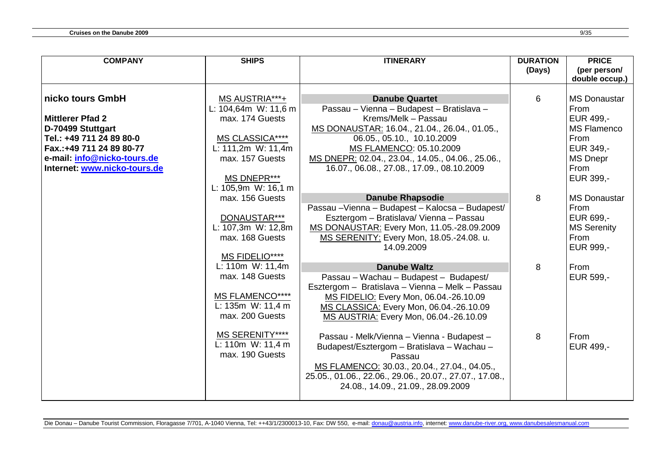| <b>COMPANY</b>               | <b>SHIPS</b>             | <b>ITINERARY</b>                                        | <b>DURATION</b><br>(Days) | <b>PRICE</b><br>(per person/<br>double occup.) |
|------------------------------|--------------------------|---------------------------------------------------------|---------------------------|------------------------------------------------|
|                              |                          |                                                         |                           |                                                |
| nicko tours GmbH             | MS AUSTRIA***+           | <b>Danube Quartet</b>                                   | 6                         | <b>MS Donaustar</b>                            |
|                              | L: $104,64m$ W: $11,6 m$ | Passau - Vienna - Budapest - Bratislava -               |                           | From                                           |
| <b>Mittlerer Pfad 2</b>      | max. 174 Guests          | Krems/Melk - Passau                                     |                           | EUR 499,-                                      |
| D-70499 Stuttgart            |                          | MS DONAUSTAR: 16.04., 21.04., 26.04., 01.05.,           |                           | <b>MS Flamenco</b>                             |
| Tel.: +49 711 24 89 80-0     | MS CLASSICA****          | 06.05., 05.10., 10.10.2009                              |                           | From                                           |
| Fax.: +49 711 24 89 80-77    | L: 111,2m W: 11,4m       | MS FLAMENCO: 05.10.2009                                 |                           | EUR 349,-                                      |
| e-mail: info@nicko-tours.de  | max. 157 Guests          | MS DNEPR: 02.04., 23.04., 14.05., 04.06., 25.06.,       |                           | <b>MS Dnepr</b>                                |
| Internet: www.nicko-tours.de |                          | 16.07., 06.08., 27.08., 17.09., 08.10.2009              |                           | From                                           |
|                              | MS DNEPR***              |                                                         |                           | EUR 399,-                                      |
|                              | L: 105,9m W: 16,1 m      |                                                         |                           |                                                |
|                              | max. 156 Guests          | <b>Danube Rhapsodie</b>                                 | 8                         | <b>MS Donaustar</b>                            |
|                              |                          | Passau - Vienna - Budapest - Kalocsa - Budapest/        |                           | From                                           |
|                              | DONAUSTAR***             | Esztergom - Bratislava/ Vienna - Passau                 |                           | EUR 699,-                                      |
|                              | L: 107,3m W: 12,8m       | MS DONAUSTAR: Every Mon, 11.05.-28.09.2009              |                           | <b>MS Serenity</b>                             |
|                              | max. 168 Guests          | MS SERENITY: Every Mon, 18.05.-24.08. u.                |                           | From                                           |
|                              |                          | 14.09.2009                                              |                           | EUR 999,-                                      |
|                              | MS FIDELIO****           |                                                         |                           |                                                |
|                              | L: 110m W: 11,4m         | <b>Danube Waltz</b>                                     | 8                         | From                                           |
|                              | max. 148 Guests          | Passau - Wachau - Budapest - Budapest/                  |                           | EUR 599,-                                      |
|                              | <b>MS FLAMENCO****</b>   | Esztergom - Bratislava - Vienna - Melk - Passau         |                           |                                                |
|                              | L: $135m$ W: $11,4 m$    | MS FIDELIO: Every Mon, 06.04.-26.10.09                  |                           |                                                |
|                              | max. 200 Guests          | MS CLASSICA: Every Mon, 06.04.-26.10.09                 |                           |                                                |
|                              |                          | MS AUSTRIA: Every Mon, 06.04.-26.10.09                  |                           |                                                |
|                              | <b>MS SERENITY****</b>   | Passau - Melk/Vienna - Vienna - Budapest -              | 8                         | From                                           |
|                              | L: 110m W: 11,4 m        | Budapest/Esztergom - Bratislava - Wachau -              |                           | EUR 499,-                                      |
|                              | max. 190 Guests          | Passau                                                  |                           |                                                |
|                              |                          | MS FLAMENCO: 30.03., 20.04., 27.04., 04.05.,            |                           |                                                |
|                              |                          | 25.05., 01.06., 22.06., 29.06., 20.07., 27.07., 17.08., |                           |                                                |
|                              |                          | 24.08., 14.09., 21.09., 28.09.2009                      |                           |                                                |
|                              |                          |                                                         |                           |                                                |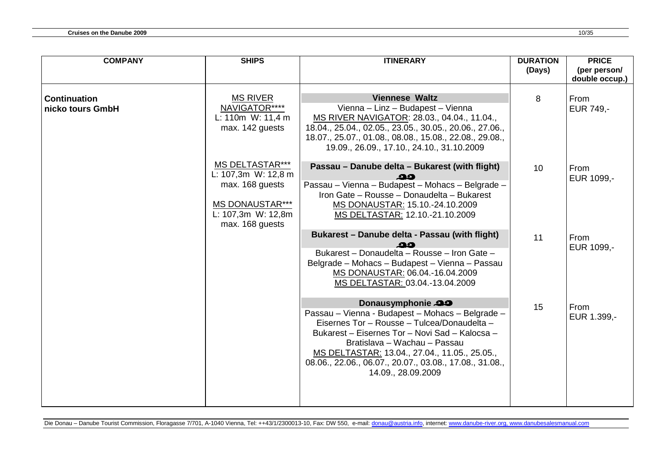| <b>COMPANY</b>                          | <b>SHIPS</b>                                                                                                                        | <b>ITINERARY</b>                                                                                                                                                                                                                                                                                                                         | <b>DURATION</b><br>(Days) | <b>PRICE</b><br>(per person/ |
|-----------------------------------------|-------------------------------------------------------------------------------------------------------------------------------------|------------------------------------------------------------------------------------------------------------------------------------------------------------------------------------------------------------------------------------------------------------------------------------------------------------------------------------------|---------------------------|------------------------------|
|                                         |                                                                                                                                     |                                                                                                                                                                                                                                                                                                                                          |                           | double occup.)               |
| <b>Continuation</b><br>nicko tours GmbH | <b>MS RIVER</b><br>NAVIGATOR****<br>L: 110 $m$ W: 11,4 $m$<br>max. 142 guests                                                       | <b>Viennese Waltz</b><br>Vienna - Linz - Budapest - Vienna<br>MS RIVER NAVIGATOR: 28.03., 04.04., 11.04.,<br>18.04., 25.04., 02.05., 23.05., 30.05., 20.06., 27.06.,<br>18.07., 25.07., 01.08., 08.08., 15.08., 22.08., 29.08.,<br>19.09., 26.09., 17.10., 24.10., 31.10.2009                                                            | 8                         | From<br>EUR 749,-            |
|                                         | <b>MS DELTASTAR***</b><br>L: 107,3m W: 12,8 m<br>max. 168 guests<br><b>MS DONAUSTAR***</b><br>L: 107,3m W: 12,8m<br>max. 168 guests | Passau - Danube delta - Bukarest (with flight)<br>ഛ<br>Passau - Vienna - Budapest - Mohacs - Belgrade -<br>Iron Gate - Rousse - Donaudelta - Bukarest<br>MS DONAUSTAR: 15.10.-24.10.2009<br>MS DELTASTAR: 12.10.-21.10.2009                                                                                                              | 10                        | From<br>EUR 1099,-           |
|                                         |                                                                                                                                     | Bukarest - Danube delta - Passau (with flight)<br>Bukarest - Donaudelta - Rousse - Iron Gate -<br>Belgrade - Mohacs - Budapest - Vienna - Passau<br>MS DONAUSTAR: 06.04.-16.04.2009<br>MS DELTASTAR: 03.04.-13.04.2009                                                                                                                   | 11                        | From<br>EUR 1099,-           |
|                                         |                                                                                                                                     | Donausymphonie 29<br>Passau - Vienna - Budapest - Mohacs - Belgrade -<br>Eisernes Tor - Rousse - Tulcea/Donaudelta -<br>Bukarest - Eisernes Tor - Novi Sad - Kalocsa -<br>Bratislava - Wachau - Passau<br>MS DELTASTAR: 13.04., 27.04., 11.05., 25.05.,<br>08.06., 22.06., 06.07., 20.07., 03.08., 17.08., 31.08.,<br>14.09., 28.09.2009 | 15                        | From<br>EUR 1.399,-          |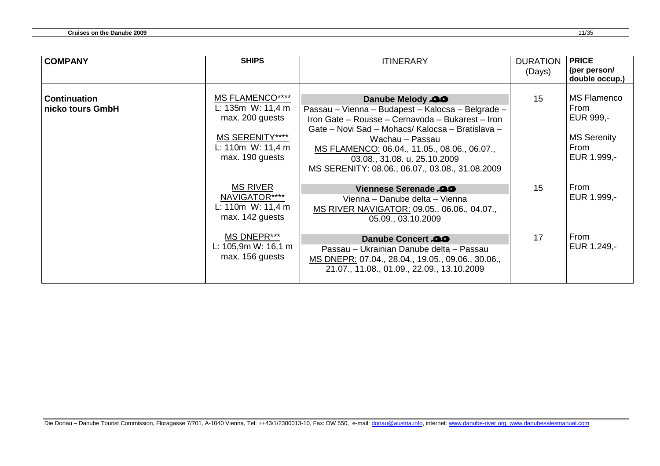| <b>COMPANY</b>                          | <b>SHIPS</b>                                                                                                                     | <b>ITINERARY</b>                                                                                                                                                                                                                                                                                                                    | <b>DURATION</b><br>(Days) | <b>PRICE</b><br>(per person/<br>double occup.)                                       |
|-----------------------------------------|----------------------------------------------------------------------------------------------------------------------------------|-------------------------------------------------------------------------------------------------------------------------------------------------------------------------------------------------------------------------------------------------------------------------------------------------------------------------------------|---------------------------|--------------------------------------------------------------------------------------|
| <b>Continuation</b><br>nicko tours GmbH | <b>MS FLAMENCO****</b><br>L: 135m W: 11,4 m<br>max. 200 guests<br><b>MS SERENITY****</b><br>L: 110m W: 11,4 m<br>max. 190 guests | Danube Melody 29<br>Passau – Vienna – Budapest – Kalocsa – Belgrade –<br>Iron Gate - Rousse - Cernavoda - Bukarest - Iron<br>Gate – Novi Sad – Mohacs/ Kalocsa – Bratislava –<br>Wachau – Passau<br>MS FLAMENCO: 06.04., 11.05., 08.06., 06.07.,<br>03.08., 31.08. u. 25.10.2009<br>MS SERENITY: 08.06., 06.07., 03.08., 31.08.2009 | 15                        | <b>MS Flamenco</b><br>From<br>EUR 999,-<br><b>MS Serenity</b><br>From<br>EUR 1.999,- |
|                                         | <b>MS RIVER</b><br>NAVIGATOR****<br>L: 110 $m$ W: 11,4 $m$<br>max. 142 guests                                                    | Viennese Serenade 20<br>Vienna - Danube delta - Vienna<br>MS RIVER NAVIGATOR: 09.05., 06.06., 04.07.,<br>05.09., 03.10.2009                                                                                                                                                                                                         | 15                        | From<br>EUR 1.999,-                                                                  |
|                                         | MS DNEPR***<br>L: $105,9m$ W: $16,1 m$<br>max. 156 guests                                                                        | Danube Concert 29<br>Passau – Ukrainian Danube delta – Passau<br>MS DNEPR: 07.04., 28.04., 19.05., 09.06., 30.06.,<br>21.07., 11.08., 01.09., 22.09., 13.10.2009                                                                                                                                                                    | 17                        | From<br>EUR 1.249,-                                                                  |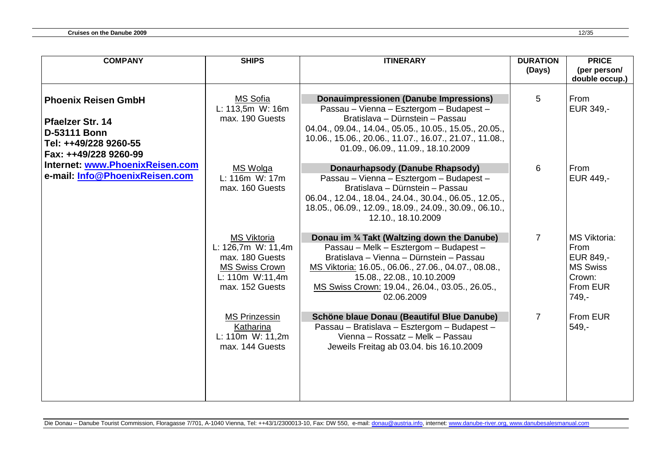| <b>COMPANY</b>                                                                                 | <b>SHIPS</b>                                                                                                               | <b>ITINERARY</b>                                                                                                                                                                                                                                                                          | <b>DURATION</b> | <b>PRICE</b>                                                                                  |
|------------------------------------------------------------------------------------------------|----------------------------------------------------------------------------------------------------------------------------|-------------------------------------------------------------------------------------------------------------------------------------------------------------------------------------------------------------------------------------------------------------------------------------------|-----------------|-----------------------------------------------------------------------------------------------|
|                                                                                                |                                                                                                                            |                                                                                                                                                                                                                                                                                           | (Days)          | (per person/                                                                                  |
|                                                                                                |                                                                                                                            |                                                                                                                                                                                                                                                                                           |                 | double occup.)                                                                                |
| <b>Phoenix Reisen GmbH</b><br><b>Pfaelzer Str. 14</b><br>D-53111 Bonn<br>Tel: ++49/228 9260-55 | <b>MS Sofia</b><br>L: 113,5m W: 16m<br>max. 190 Guests                                                                     | Donauimpressionen (Danube Impressions)<br>Passau - Vienna - Esztergom - Budapest -<br>Bratislava - Dürnstein - Passau<br>04.04., 09.04., 14.04., 05.05., 10.05., 15.05., 20.05.,<br>10.06., 15.06., 20.06., 11.07., 16.07., 21.07., 11.08.,                                               | 5               | From<br>EUR 349,-                                                                             |
| Fax: ++49/228 9260-99                                                                          |                                                                                                                            | 01.09., 06.09., 11.09., 18.10.2009                                                                                                                                                                                                                                                        |                 |                                                                                               |
| Internet: www.PhoenixReisen.com                                                                | MS Wolga                                                                                                                   | Donaurhapsody (Danube Rhapsody)                                                                                                                                                                                                                                                           | 6               | From                                                                                          |
| e-mail: Info@PhoenixReisen.com                                                                 | L: 116m W: 17m<br>max. 160 Guests                                                                                          | Passau - Vienna - Esztergom - Budapest -<br>Bratislava - Dürnstein - Passau<br>06.04., 12.04., 18.04., 24.04., 30.04., 06.05., 12.05.,<br>18.05., 06.09., 12.09., 18.09., 24.09., 30.09., 06.10.,<br>12.10., 18.10.2009                                                                   |                 | EUR 449,-                                                                                     |
|                                                                                                | <b>MS Viktoria</b><br>L: 126,7m W: 11,4m<br>max. 180 Guests<br><b>MS Swiss Crown</b><br>L: 110m W:11,4m<br>max. 152 Guests | Donau im 3/4 Takt (Waltzing down the Danube)<br>Passau - Melk - Esztergom - Budapest -<br>Bratislava - Vienna - Dürnstein - Passau<br>MS Viktoria: 16.05., 06.06., 27.06., 04.07., 08.08.,<br>15.08., 22.08., 10.10.2009<br>MS Swiss Crown: 19.04., 26.04., 03.05., 26.05.,<br>02.06.2009 | $\overline{7}$  | <b>MS Viktoria:</b><br>From<br>EUR 849,-<br><b>MS Swiss</b><br>Crown:<br>From EUR<br>$749. -$ |
|                                                                                                | <b>MS Prinzessin</b><br>Katharina<br>L: 110m W: 11,2m<br>max. 144 Guests                                                   | Schöne blaue Donau (Beautiful Blue Danube)<br>Passau - Bratislava - Esztergom - Budapest -<br>Vienna - Rossatz - Melk - Passau<br>Jeweils Freitag ab 03.04. bis 16.10.2009                                                                                                                | $\overline{7}$  | From EUR<br>$549,-$                                                                           |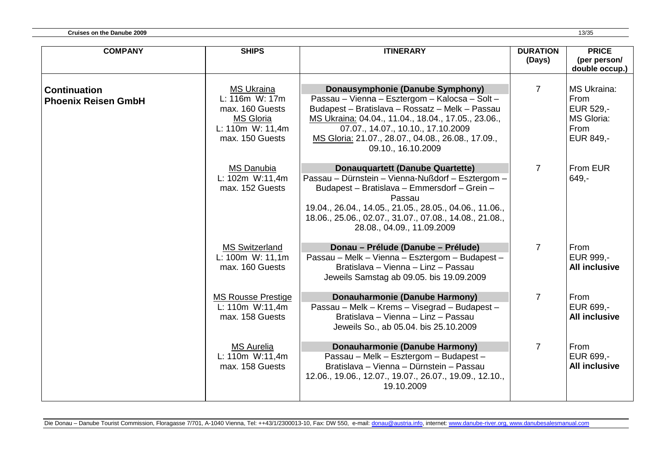| <b>COMPANY</b>                                    | <b>SHIPS</b>                                                                                                      | <b>ITINERARY</b>                                                                                                                                                                                                                                                                                               | <b>DURATION</b><br>(Days) | <b>PRICE</b><br>(per person/<br>double occup.)                                    |
|---------------------------------------------------|-------------------------------------------------------------------------------------------------------------------|----------------------------------------------------------------------------------------------------------------------------------------------------------------------------------------------------------------------------------------------------------------------------------------------------------------|---------------------------|-----------------------------------------------------------------------------------|
| <b>Continuation</b><br><b>Phoenix Reisen GmbH</b> | <b>MS Ukraina</b><br>L: 116m W: 17m<br>max. 160 Guests<br><b>MS Gloria</b><br>L: 110m W: 11,4m<br>max. 150 Guests | Donausymphonie (Danube Symphony)<br>Passau - Vienna - Esztergom - Kalocsa - Solt -<br>Budapest - Bratislava - Rossatz - Melk - Passau<br>MS Ukraina: 04.04., 11.04., 18.04., 17.05., 23.06.,<br>07.07., 14.07., 10.10., 17.10.2009<br>MS Gloria: 21.07., 28.07., 04.08., 26.08., 17.09.,<br>09.10., 16.10.2009 | $\overline{7}$            | <b>MS Ukraina:</b><br>From<br><b>EUR 529,-</b><br>MS Gloria:<br>From<br>EUR 849,- |
|                                                   | <b>MS Danubia</b><br>L: 102m W:11,4m<br>max. 152 Guests                                                           | <b>Donauquartett (Danube Quartette)</b><br>Passau - Dürnstein - Vienna-Nußdorf - Esztergom -<br>Budapest - Bratislava - Emmersdorf - Grein -<br>Passau<br>19.04., 26.04., 14.05., 21.05., 28.05., 04.06., 11.06.,<br>18.06., 25.06., 02.07., 31.07., 07.08., 14.08., 21.08.,<br>28.08., 04.09., 11.09.2009     | $\overline{7}$            | From EUR<br>$649 -$                                                               |
|                                                   | <b>MS Switzerland</b><br>L: 100m W: 11,1m<br>max. 160 Guests                                                      | Donau – Prélude (Danube – Prélude)<br>Passau - Melk - Vienna - Esztergom - Budapest -<br>Bratislava - Vienna - Linz - Passau<br>Jeweils Samstag ab 09.05. bis 19.09.2009                                                                                                                                       | $\overline{7}$            | From<br>EUR 999 .-<br><b>All inclusive</b>                                        |
|                                                   | <b>MS Rousse Prestige</b><br>L: 110m W:11,4m<br>max. 158 Guests                                                   | Donauharmonie (Danube Harmony)<br>Passau - Melk - Krems - Visegrad - Budapest -<br>Bratislava - Vienna - Linz - Passau<br>Jeweils So., ab 05.04. bis 25.10.2009                                                                                                                                                | $\overline{7}$            | From<br>EUR 699,-<br><b>All inclusive</b>                                         |
|                                                   | <b>MS Aurelia</b><br>L: 110m W:11,4m<br>max. 158 Guests                                                           | <b>Donauharmonie (Danube Harmony)</b><br>Passau - Melk - Esztergom - Budapest -<br>Bratislava - Vienna - Dürnstein - Passau<br>12.06., 19.06., 12.07., 19.07., 26.07., 19.09., 12.10.,<br>19.10.2009                                                                                                           | $\overline{7}$            | From<br>EUR 699,-<br><b>All inclusive</b>                                         |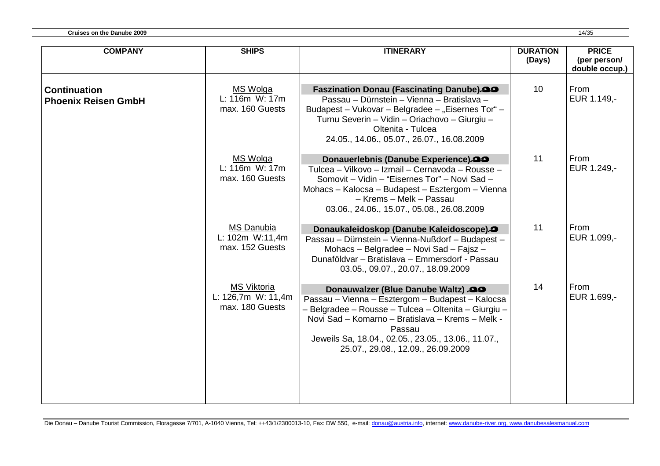| <b>COMPANY</b>                                    | <b>SHIPS</b>                                                | <b>ITINERARY</b>                                                                                                                                                                                                                                                                                          | <b>DURATION</b><br>(Days) | <b>PRICE</b><br>(per person/<br>double occup.) |
|---------------------------------------------------|-------------------------------------------------------------|-----------------------------------------------------------------------------------------------------------------------------------------------------------------------------------------------------------------------------------------------------------------------------------------------------------|---------------------------|------------------------------------------------|
| <b>Continuation</b><br><b>Phoenix Reisen GmbH</b> | MS Wolga<br>L: 116m W: 17m<br>max. 160 Guests               | <b>Faszination Donau (Fascinating Danube).99</b><br>Passau – Dürnstein – Vienna – Bratislava –<br>Budapest - Vukovar - Belgradee - "Eisernes Tor" -<br>Turnu Severin - Vidin - Oriachovo - Giurgiu -<br>Oltenita - Tulcea<br>24.05., 14.06., 05.07., 26.07., 16.08.2009                                   | 10                        | From<br>EUR 1.149,-                            |
|                                                   | <b>MS Wolga</b><br>L: 116m W: 17m<br>max. 160 Guests        | Donauerlebnis (Danube Experience).33<br>Tulcea - Vilkovo - Izmail - Cernavoda - Rousse -<br>Somovit - Vidin - "Eisernes Tor" - Novi Sad -<br>Mohacs - Kalocsa - Budapest - Esztergom - Vienna<br>- Krems - Melk - Passau<br>03.06., 24.06., 15.07., 05.08., 26.08.2009                                    | 11                        | From<br>EUR 1.249,-                            |
|                                                   | <b>MS Danubia</b><br>L: 102m W:11,4m<br>max. 152 Guests     | Donaukaleidoskop (Danube Kaleidoscope).<br>Passau - Dürnstein - Vienna-Nußdorf - Budapest -<br>Mohacs - Belgradee - Novi Sad - Fajsz -<br>Dunaföldvar - Bratislava - Emmersdorf - Passau<br>03.05., 09.07., 20.07., 18.09.2009                                                                            | 11                        | From<br>EUR 1.099,-                            |
|                                                   | <b>MS Viktoria</b><br>L: 126,7m W: 11,4m<br>max. 180 Guests | Donauwalzer (Blue Danube Waltz) 29<br>Passau - Vienna - Esztergom - Budapest - Kalocsa<br>- Belgradee - Rousse - Tulcea - Oltenita - Giurgiu -<br>Novi Sad - Komarno - Bratislava - Krems - Melk -<br>Passau<br>Jeweils Sa, 18.04., 02.05., 23.05., 13.06., 11.07.,<br>25.07., 29.08., 12.09., 26.09.2009 | 14                        | From<br>EUR 1.699,-                            |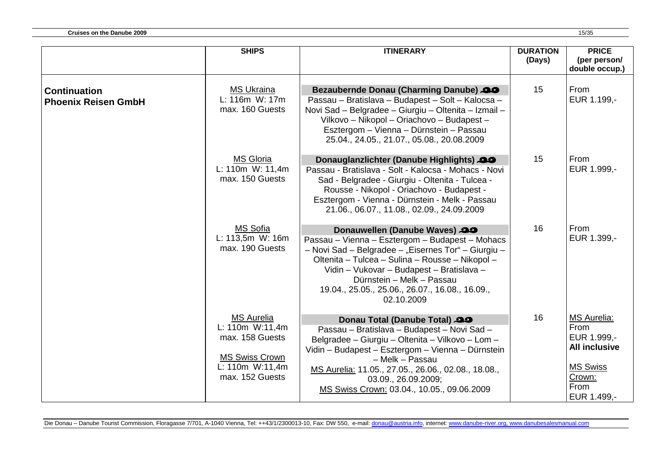|                                                   | <b>SHIPS</b>                                                                                                           | <b>ITINERARY</b>                                                                                                                                                                                                                                                                                                                      | <b>DURATION</b><br>(Days) | <b>PRICE</b><br>(per person/<br>double occup.)                                                                        |
|---------------------------------------------------|------------------------------------------------------------------------------------------------------------------------|---------------------------------------------------------------------------------------------------------------------------------------------------------------------------------------------------------------------------------------------------------------------------------------------------------------------------------------|---------------------------|-----------------------------------------------------------------------------------------------------------------------|
| <b>Continuation</b><br><b>Phoenix Reisen GmbH</b> | <b>MS Ukraina</b><br>L: 116m W: 17m<br>max. 160 Guests                                                                 | <b>Bezaubernde Donau (Charming Danube)</b> 29<br>Passau - Bratislava - Budapest - Solt - Kalocsa -<br>Novi Sad - Belgradee - Giurgiu - Oltenita - Izmail -<br>Vilkovo - Nikopol - Oriachovo - Budapest -<br>Esztergom - Vienna - Dürnstein - Passau<br>25.04., 24.05., 21.07., 05.08., 20.08.2009                                     | 15                        | From<br>EUR 1.199,-                                                                                                   |
|                                                   | <b>MS Gloria</b><br>L: 110m W: 11,4m<br>max. 150 Guests                                                                | Donauglanzlichter (Danube Highlights) 29<br>Passau - Bratislava - Solt - Kalocsa - Mohacs - Novi<br>Sad - Belgradee - Giurgiu - Oltenita - Tulcea -<br>Rousse - Nikopol - Oriachovo - Budapest -<br>Esztergom - Vienna - Dürnstein - Melk - Passau<br>21.06., 06.07., 11.08., 02.09., 24.09.2009                                      | 15                        | From<br>EUR 1.999,-                                                                                                   |
|                                                   | MS Sofia<br>L: 113,5m W: 16m<br>max. 190 Guests                                                                        | Donauwellen (Danube Waves) 29<br>Passau - Vienna - Esztergom - Budapest - Mohacs<br>- Novi Sad - Belgradee - "Eisernes Tor" - Giurgiu -<br>Oltenita - Tulcea - Sulina - Rousse - Nikopol -<br>Vidin - Vukovar - Budapest - Bratislava -<br>Dürnstein - Melk - Passau<br>19.04., 25.05., 25.06., 26.07., 16.08., 16.09.,<br>02.10.2009 | 16                        | From<br>EUR 1.399,-                                                                                                   |
|                                                   | <b>MS Aurelia</b><br>L: 110m W:11,4m<br>max. 158 Guests<br><b>MS Swiss Crown</b><br>L: 110m W:11,4m<br>max. 152 Guests | Donau Total (Danube Total) 29<br>Passau - Bratislava - Budapest - Novi Sad -<br>Belgradee - Giurgiu - Oltenita - Vilkovo - Lom -<br>Vidin - Budapest - Esztergom - Vienna - Dürnstein<br>- Melk - Passau<br>MS Aurelia: 11.05., 27.05., 26.06., 02.08., 18.08.,<br>03.09., 26.09.2009;<br>MS Swiss Crown: 03.04., 10.05., 09.06.2009  | 16                        | <b>MS Aurelia:</b><br>From<br>EUR 1.999,-<br><b>All inclusive</b><br><b>MS Swiss</b><br>Crown:<br>From<br>EUR 1.499,- |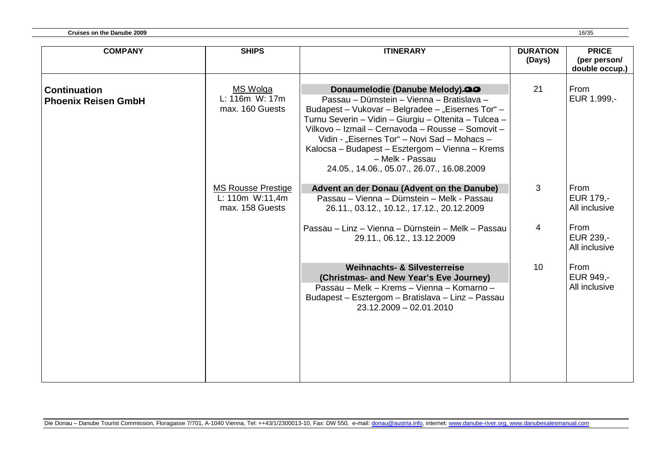| <b>COMPANY</b>                                    | <b>SHIPS</b>                                                    | <b>ITINERARY</b>                                                                                                                                                                                                                                                                                                                                                                                                     | <b>DURATION</b><br>(Days) | <b>PRICE</b><br>(per person/<br>double occup.) |
|---------------------------------------------------|-----------------------------------------------------------------|----------------------------------------------------------------------------------------------------------------------------------------------------------------------------------------------------------------------------------------------------------------------------------------------------------------------------------------------------------------------------------------------------------------------|---------------------------|------------------------------------------------|
| <b>Continuation</b><br><b>Phoenix Reisen GmbH</b> | <b>MS Wolga</b><br>L: 116m W: 17m<br>max. 160 Guests            | Donaumelodie (Danube Melody).33<br>Passau – Dürnstein – Vienna – Bratislava –<br>Budapest - Vukovar - Belgradee - "Eisernes Tor" -<br>Turnu Severin - Vidin - Giurgiu - Oltenita - Tulcea -<br>Vilkovo - Izmail - Cernavoda - Rousse - Somovit -<br>Vidin - "Eisernes Tor" - Novi Sad - Mohacs -<br>Kalocsa – Budapest – Esztergom – Vienna – Krems<br>- Melk - Passau<br>24.05., 14.06., 05.07., 26.07., 16.08.2009 | 21                        | From<br>EUR 1.999,-                            |
|                                                   | <b>MS Rousse Prestige</b><br>L: 110m W:11,4m<br>max. 158 Guests | Advent an der Donau (Advent on the Danube)<br>Passau – Vienna – Dürnstein – Melk - Passau<br>26.11., 03.12., 10.12., 17.12., 20.12.2009                                                                                                                                                                                                                                                                              | 3                         | From<br>EUR 179,-<br>All inclusive             |
|                                                   |                                                                 | Passau – Linz – Vienna – Dürnstein – Melk – Passau<br>29.11., 06.12., 13.12.2009                                                                                                                                                                                                                                                                                                                                     | 4                         | From<br>EUR 239,-<br>All inclusive             |
|                                                   |                                                                 | <b>Weihnachts- &amp; Silvesterreise</b><br>(Christmas- and New Year's Eve Journey)<br>Passau – Melk – Krems – Vienna – Komarno –<br>Budapest - Esztergom - Bratislava - Linz - Passau<br>23.12.2009 - 02.01.2010                                                                                                                                                                                                     | 10                        | From<br>EUR 949,-<br>All inclusive             |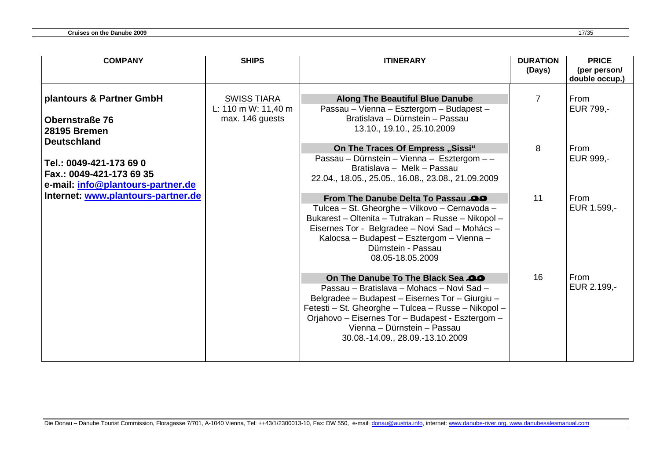| <b>COMPANY</b>                                                                                                 | <b>SHIPS</b>                                                 | <b>ITINERARY</b>                                                                                                                                                                                                                                                                                             | <b>DURATION</b><br>(Days) | <b>PRICE</b><br>(per person/<br>double occup.) |
|----------------------------------------------------------------------------------------------------------------|--------------------------------------------------------------|--------------------------------------------------------------------------------------------------------------------------------------------------------------------------------------------------------------------------------------------------------------------------------------------------------------|---------------------------|------------------------------------------------|
| plantours & Partner GmbH<br><b>Obernstraße 76</b><br><b>28195 Bremen</b>                                       | <b>SWISS TIARA</b><br>L: 110 m W: 11,40 m<br>max. 146 guests | <b>Along The Beautiful Blue Danube</b><br>Passau - Vienna - Esztergom - Budapest -<br>Bratislava - Dürnstein - Passau<br>13.10., 19.10., 25.10.2009                                                                                                                                                          | 7                         | From<br>EUR 799,-                              |
| <b>Deutschland</b><br>Tel.: 0049-421-173 69 0<br>Fax.: 0049-421-173 69 35<br>e-mail: info@plantours-partner.de |                                                              | On The Traces Of Empress "Sissi"<br>Passau - Dürnstein - Vienna - Esztergom - -<br>Bratislava - Melk - Passau<br>22.04., 18.05., 25.05., 16.08., 23.08., 21.09.2009                                                                                                                                          | 8                         | From<br>EUR 999,-                              |
| Internet: www.plantours-partner.de                                                                             |                                                              | From The Danube Delta To Passau<br>Tulcea - St. Gheorghe - Vilkovo - Cernavoda -<br>Bukarest - Oltenita - Tutrakan - Russe - Nikopol -<br>Eisernes Tor - Belgradee - Novi Sad - Mohács -<br>Kalocsa - Budapest - Esztergom - Vienna -<br>Dürnstein - Passau<br>08.05-18.05.2009                              | 11                        | From<br>EUR 1.599,-                            |
|                                                                                                                |                                                              | On The Danube To The Black Sea<br>Passau - Bratislava - Mohacs - Novi Sad -<br>Belgradee - Budapest - Eisernes Tor - Giurgiu -<br>Fetesti - St. Gheorghe - Tulcea - Russe - Nikopol -<br>Orjahovo - Eisernes Tor - Budapest - Esztergom -<br>Vienna - Dürnstein - Passau<br>30.08.-14.09., 28.09.-13.10.2009 | 16                        | From<br>EUR 2.199,-                            |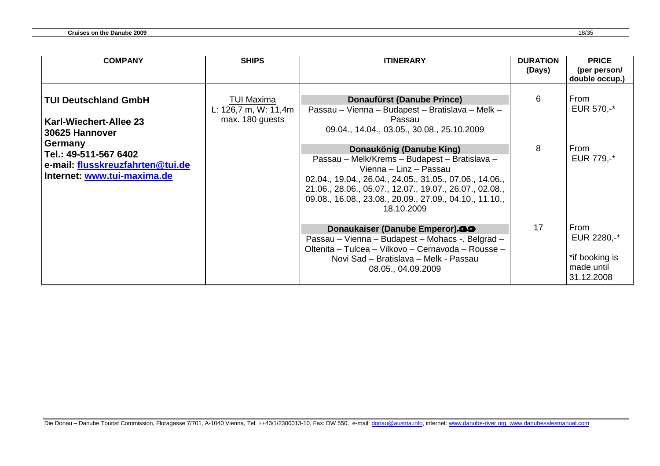| <b>COMPANY</b>                                                                                      | <b>SHIPS</b>                                                     | <b>ITINERARY</b>                                                                                                                                                                                                                                                                                   | <b>DURATION</b><br>(Days) | <b>PRICE</b><br>(per person/                                      |
|-----------------------------------------------------------------------------------------------------|------------------------------------------------------------------|----------------------------------------------------------------------------------------------------------------------------------------------------------------------------------------------------------------------------------------------------------------------------------------------------|---------------------------|-------------------------------------------------------------------|
|                                                                                                     |                                                                  |                                                                                                                                                                                                                                                                                                    |                           | double occup.)                                                    |
| <b>TUI Deutschland GmbH</b><br><b>Karl-Wiechert-Allee 23</b><br>30625 Hannover                      | <b>TUI Maxima</b><br>L: $126,7$ m, W: $11,4m$<br>max. 180 guests | <b>Donaufürst (Danube Prince)</b><br>Passau – Vienna – Budapest – Bratislava – Melk –<br>Passau<br>09.04., 14.04., 03.05., 30.08., 25.10.2009                                                                                                                                                      | 6                         | From<br>EUR 570,-*                                                |
| Germany<br>Tel.: 49-511-567 6402<br>e-mail: flusskreuzfahrten@tui.de<br>Internet: www.tui-maxima.de |                                                                  | Donaukönig (Danube King)<br>Passau - Melk/Krems - Budapest - Bratislava -<br>Vienna - Linz - Passau<br>02.04., 19.04., 26.04., 24.05., 31.05., 07.06., 14.06.,<br>21.06., 28.06., 05.07., 12.07., 19.07., 26.07., 02.08.,<br>09.08., 16.08., 23.08., 20.09., 27.09., 04.10., 11.10.,<br>18.10.2009 | 8                         | From<br>EUR 779,-*                                                |
|                                                                                                     |                                                                  | Donaukaiser (Danube Emperor).<br>Passau – Vienna – Budapest – Mohacs -. Belgrad –<br>Oltenita - Tulcea - Vilkovo - Cernavoda - Rousse -<br>Novi Sad - Bratislava - Melk - Passau<br>08.05., 04.09.2009                                                                                             | 17                        | From<br>EUR 2280,-*<br>*if booking is<br>made until<br>31.12.2008 |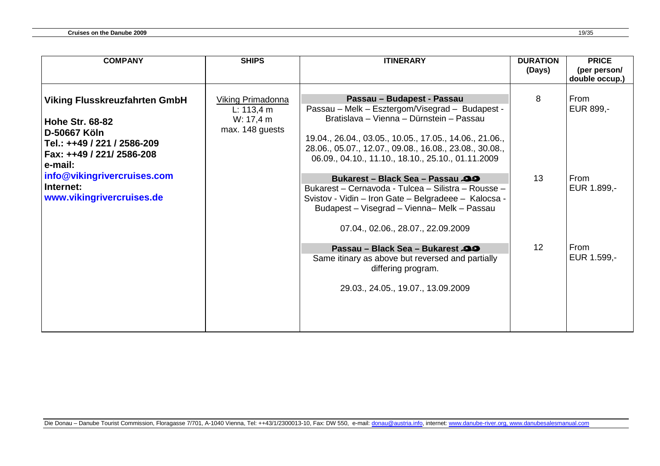| From<br>Passau - Budapest - Passau<br>8<br>Viking Primadonna<br>Passau – Melk – Esztergom/Visegrad – Budapest -<br>EUR 899,-<br>L: 113,4 m<br>Bratislava - Vienna - Dürnstein - Passau<br>W: 17,4 m<br>max. 148 guests<br>19.04., 26.04., 03.05., 10.05., 17.05., 14.06., 21.06.,<br>28.06., 05.07., 12.07., 09.08., 16.08., 23.08., 30.08.,<br>06.09., 04.10., 11.10., 18.10., 25.10., 01.11.2009<br>13<br>From<br><b>Bukarest - Black Sea - Passau 29</b><br>EUR 1.899,-<br>Bukarest – Cernavoda - Tulcea – Silistra – Rousse –<br>Svistov - Vidin - Iron Gate - Belgradeee - Kalocsa -<br>Budapest - Visegrad - Vienna- Melk - Passau<br>07.04., 02.06., 28.07., 22.09.2009<br>12<br>From<br>Passau - Black Sea - Bukarest 29<br>EUR 1.599,-<br>Same itinary as above but reversed and partially<br>differing program.<br>29.03., 24.05., 19.07., 13.09.2009 | <b>COMPANY</b>                                                                                                                                                                                                                 | <b>SHIPS</b> | <b>ITINERARY</b> | <b>DURATION</b><br>(Days) | <b>PRICE</b><br>(per person/ |
|-----------------------------------------------------------------------------------------------------------------------------------------------------------------------------------------------------------------------------------------------------------------------------------------------------------------------------------------------------------------------------------------------------------------------------------------------------------------------------------------------------------------------------------------------------------------------------------------------------------------------------------------------------------------------------------------------------------------------------------------------------------------------------------------------------------------------------------------------------------------|--------------------------------------------------------------------------------------------------------------------------------------------------------------------------------------------------------------------------------|--------------|------------------|---------------------------|------------------------------|
|                                                                                                                                                                                                                                                                                                                                                                                                                                                                                                                                                                                                                                                                                                                                                                                                                                                                 | <b>Viking Flusskreuzfahrten GmbH</b><br><b>Hohe Str. 68-82</b><br>D-50667 Köln<br>Tel.: ++49 / 221 / 2586-209<br>Fax: ++49 / 221/ 2586-208<br>e-mail:<br>info@vikingrivercruises.com<br>Internet:<br>www.vikingrivercruises.de |              |                  |                           | double occup.)               |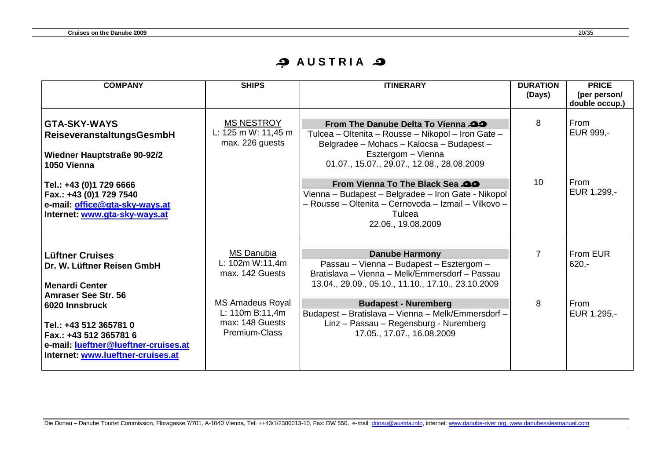#### **به AUSTRIA**

| <b>COMPANY</b>                                                                                                                                                                | <b>SHIPS</b>                                                                     | <b>ITINERARY</b>                                                                                                                                                                                                 | <b>DURATION</b><br>(Days) | <b>PRICE</b><br>(per person/<br>double occup.) |
|-------------------------------------------------------------------------------------------------------------------------------------------------------------------------------|----------------------------------------------------------------------------------|------------------------------------------------------------------------------------------------------------------------------------------------------------------------------------------------------------------|---------------------------|------------------------------------------------|
| <b>GTA-SKY-WAYS</b><br>ReiseveranstaltungsGesmbH<br><b>Wiedner Hauptstraße 90-92/2</b><br>1050 Vienna                                                                         | <b>MS NESTROY</b><br>L: 125 m W: 11,45 m<br>max. 226 guests                      | <b>From The Danube Delta To Vienna 29</b><br>Tulcea - Oltenita - Rousse - Nikopol - Iron Gate -<br>Belgradee - Mohacs - Kalocsa - Budapest -<br>Esztergom - Vienna<br>01.07., 15.07., 29.07., 12.08., 28.08.2009 | 8                         | From<br>EUR 999,-                              |
| Tel.: +43 (0)1 729 6666<br>Fax.: +43 (0)1 729 7540<br>e-mail: office@gta-sky-ways.at<br>Internet: www.gta-sky-ways.at                                                         |                                                                                  | From Vienna To The Black Sea<br>Vienna - Budapest - Belgradee - Iron Gate - Nikopol<br>- Rousse - Oltenita - Cernovoda - Izmail - Vilkovo -<br>Tulcea<br>22.06., 19.08.2009                                      | 10 <sup>°</sup>           | From<br>EUR 1.299,-                            |
| <b>Lüftner Cruises</b><br>Dr. W. Lüftner Reisen GmbH<br><b>Menardi Center</b>                                                                                                 | <b>MS Danubia</b><br>L: 102m W:11,4m<br>max. 142 Guests                          | <b>Danube Harmony</b><br>Passau - Vienna - Budapest - Esztergom -<br>Bratislava - Vienna - Melk/Emmersdorf - Passau<br>13.04., 29.09., 05.10., 11.10., 17.10., 23.10.2009                                        | $\overline{7}$            | From EUR<br>$620 -$                            |
| <b>Amraser See Str. 56</b><br>6020 Innsbruck<br>Tel.: +43 512 365781 0<br>Fax.: +43 512 365781 6<br>e-mail: lueftner@lueftner-cruises.at<br>Internet: www.lueftner-cruises.at | <b>MS Amadeus Royal</b><br>L: $110m B:11,4m$<br>max: 148 Guests<br>Premium-Class | <b>Budapest - Nuremberg</b><br>Budapest - Bratislava - Vienna - Melk/Emmersdorf -<br>Linz - Passau - Regensburg - Nuremberg<br>17.05., 17.07., 16.08.2009                                                        | 8                         | From<br>EUR 1.295,-                            |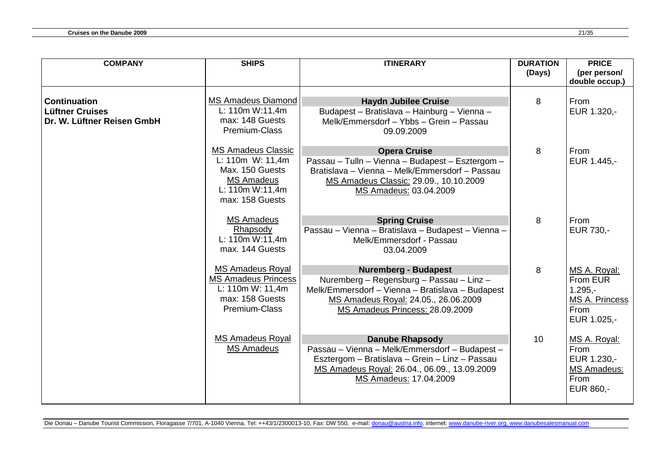| <b>COMPANY</b>                                                              | <b>SHIPS</b>                                                                                                         | <b>ITINERARY</b>                                                                                                                                                                                       | <b>DURATION</b><br>(Days) | <b>PRICE</b><br>(per person/                                                   |
|-----------------------------------------------------------------------------|----------------------------------------------------------------------------------------------------------------------|--------------------------------------------------------------------------------------------------------------------------------------------------------------------------------------------------------|---------------------------|--------------------------------------------------------------------------------|
|                                                                             |                                                                                                                      |                                                                                                                                                                                                        |                           | double occup.)                                                                 |
| <b>Continuation</b><br><b>Lüftner Cruises</b><br>Dr. W. Lüftner Reisen GmbH | <b>MS Amadeus Diamond</b><br>L: 110m W:11,4m<br>max: 148 Guests<br>Premium-Class                                     | <b>Haydn Jubilee Cruise</b><br>Budapest - Bratislava - Hainburg - Vienna -<br>Melk/Emmersdorf - Ybbs - Grein - Passau<br>09.09.2009                                                                    | 8                         | From<br>EUR 1.320,-                                                            |
|                                                                             | <b>MS Amadeus Classic</b><br>L: 110m W: 11,4m<br>Max. 150 Guests<br>MS Amadeus<br>L: 110m W:11,4m<br>max: 158 Guests | <b>Opera Cruise</b><br>Passau - Tulln - Vienna - Budapest - Esztergom -<br>Bratislava – Vienna – Melk/Emmersdorf – Passau<br>MS Amadeus Classic: 29.09., 10.10.2009<br>MS Amadeus: 03.04.2009          | 8                         | From<br>EUR 1.445,-                                                            |
|                                                                             | <b>MS Amadeus</b><br>Rhapsody<br>L: 110m W:11,4m<br>max. 144 Guests                                                  | <b>Spring Cruise</b><br>Passau - Vienna - Bratislava - Budapest - Vienna -<br>Melk/Emmersdorf - Passau<br>03.04.2009                                                                                   | 8                         | From<br>EUR 730,-                                                              |
|                                                                             | <b>MS Amadeus Royal</b><br><b>MS Amadeus Princess</b><br>L: 110m W: 11,4m<br>max: 158 Guests<br>Premium-Class        | <b>Nuremberg - Budapest</b><br>Nuremberg - Regensburg - Passau - Linz -<br>Melk/Emmersdorf - Vienna - Bratislava - Budapest<br>MS Amadeus Royal: 24.05., 26.06.2009<br>MS Amadeus Princess: 28.09.2009 | 8                         | MS A. Royal:<br>From EUR<br>$1.295 -$<br>MS A. Princess<br>From<br>EUR 1.025,- |
|                                                                             | <b>MS Amadeus Royal</b><br><b>MS Amadeus</b>                                                                         | <b>Danube Rhapsody</b><br>Passau - Vienna - Melk/Emmersdorf - Budapest -<br>Esztergom - Bratislava - Grein - Linz - Passau<br>MS Amadeus Royal: 26.04., 06.09., 13.09.2009<br>MS Amadeus: 17.04.2009   | 10                        | MS A. Royal:<br>From<br>EUR 1.230,-<br>MS Amadeus:<br>From<br>EUR 860,-        |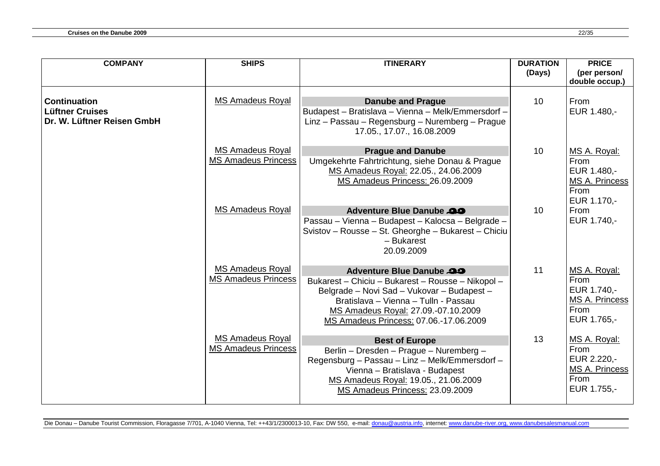| <b>COMPANY</b>                                                              | <b>SHIPS</b>                                          | <b>ITINERARY</b>                                                                                                                                                                                                                                            | <b>DURATION</b><br>(Days) | <b>PRICE</b><br>(per person/<br>double occup.)                                      |
|-----------------------------------------------------------------------------|-------------------------------------------------------|-------------------------------------------------------------------------------------------------------------------------------------------------------------------------------------------------------------------------------------------------------------|---------------------------|-------------------------------------------------------------------------------------|
| <b>Continuation</b><br><b>Lüftner Cruises</b><br>Dr. W. Lüftner Reisen GmbH | <b>MS Amadeus Royal</b>                               | <b>Danube and Prague</b><br>Budapest - Bratislava - Vienna - Melk/Emmersdorf -<br>Linz - Passau - Regensburg - Nuremberg - Prague<br>17.05., 17.07., 16.08.2009                                                                                             | 10 <sup>°</sup>           | From<br>EUR 1.480,-                                                                 |
|                                                                             | <b>MS Amadeus Royal</b><br><b>MS Amadeus Princess</b> | <b>Prague and Danube</b><br>Umgekehrte Fahrtrichtung, siehe Donau & Prague<br>MS Amadeus Royal: 22.05., 24.06.2009<br>MS Amadeus Princess: 26.09.2009                                                                                                       | 10                        | MS A. Royal:<br>From<br>EUR 1.480,-<br>MS A. Princess<br>From                       |
|                                                                             | <b>MS Amadeus Royal</b>                               | <b>Adventure Blue Danube 29</b><br>Passau – Vienna – Budapest – Kalocsa – Belgrade –<br>Svistov - Rousse - St. Gheorghe - Bukarest - Chiciu<br>- Bukarest<br>20.09.2009                                                                                     | 10                        | EUR 1.170,-<br>From<br>EUR 1.740,-                                                  |
|                                                                             | <b>MS Amadeus Royal</b><br><b>MS Amadeus Princess</b> | <b>Adventure Blue Danube 29</b><br>Bukarest - Chiciu - Bukarest - Rousse - Nikopol -<br>Belgrade - Novi Sad - Vukovar - Budapest -<br>Bratislava - Vienna - Tulln - Passau<br>MS Amadeus Royal: 27.09.-07.10.2009<br>MS Amadeus Princess: 07.06.-17.06.2009 | 11                        | MS A. Royal:<br>From<br>EUR 1.740,-<br>MS A. Princess<br><b>From</b><br>EUR 1.765,- |
|                                                                             | <b>MS Amadeus Royal</b><br><b>MS Amadeus Princess</b> | <b>Best of Europe</b><br>Berlin - Dresden - Prague - Nuremberg -<br>Regensburg - Passau - Linz - Melk/Emmersdorf -<br>Vienna - Bratislava - Budapest<br>MS Amadeus Royal: 19.05., 21.06.2009<br>MS Amadeus Princess: 23.09.2009                             | 13                        | MS A. Royal:<br>From<br>EUR 2.220,-<br>MS A. Princess<br>From<br>EUR 1.755,-        |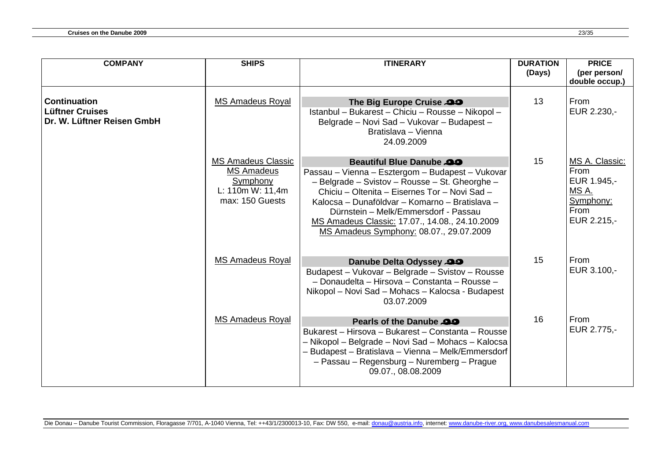| <b>COMPANY</b>                                                              | <b>SHIPS</b>                                                                                             | <b>ITINERARY</b>                                                                                                                                                                                                                                                                                                                                                              | <b>DURATION</b><br>(Days) | <b>PRICE</b><br>(per person/<br>double occup.)                                            |
|-----------------------------------------------------------------------------|----------------------------------------------------------------------------------------------------------|-------------------------------------------------------------------------------------------------------------------------------------------------------------------------------------------------------------------------------------------------------------------------------------------------------------------------------------------------------------------------------|---------------------------|-------------------------------------------------------------------------------------------|
| <b>Continuation</b><br><b>Lüftner Cruises</b><br>Dr. W. Lüftner Reisen GmbH | <b>MS Amadeus Royal</b>                                                                                  | The Big Europe Cruise 29<br>Istanbul - Bukarest - Chiciu - Rousse - Nikopol -<br>Belgrade - Novi Sad - Vukovar - Budapest -<br>Bratislava - Vienna<br>24.09.2009                                                                                                                                                                                                              | 13                        | <b>From</b><br>EUR 2.230,-                                                                |
|                                                                             | <b>MS Amadeus Classic</b><br><b>MS Amadeus</b><br><b>Symphony</b><br>L: 110m W: 11,4m<br>max: 150 Guests | <b>Beautiful Blue Danube 20</b><br>Passau - Vienna - Esztergom - Budapest - Vukovar<br>- Belgrade - Svistov - Rousse - St. Gheorghe -<br>Chiciu - Oltenita - Eisernes Tor - Novi Sad -<br>Kalocsa – Dunaföldvar – Komarno – Bratislava –<br>Dürnstein – Melk/Emmersdorf - Passau<br>MS Amadeus Classic: 17.07., 14.08., 24.10.2009<br>MS Amadeus Symphony: 08.07., 29.07.2009 | 15                        | MS A. Classic:<br><b>From</b><br>EUR 1.945,-<br>MS A.<br>Symphony:<br>From<br>EUR 2.215,- |
|                                                                             | <b>MS Amadeus Royal</b>                                                                                  | Danube Delta Odyssey 29<br>Budapest - Vukovar - Belgrade - Svistov - Rousse<br>- Donaudelta - Hirsova - Constanta - Rousse -<br>Nikopol - Novi Sad - Mohacs - Kalocsa - Budapest<br>03.07.2009                                                                                                                                                                                | 15                        | From<br>EUR 3.100,-                                                                       |
|                                                                             | <b>MS Amadeus Royal</b>                                                                                  | Pearls of the Danube 20<br>Bukarest - Hirsova - Bukarest - Constanta - Rousse<br>– Nikopol – Belgrade – Novi Sad – Mohacs – Kalocsa<br>- Budapest - Bratislava - Vienna - Melk/Emmersdorf<br>- Passau - Regensburg - Nuremberg - Prague<br>09.07., 08.08.2009                                                                                                                 | 16                        | <b>From</b><br>EUR 2.775,-                                                                |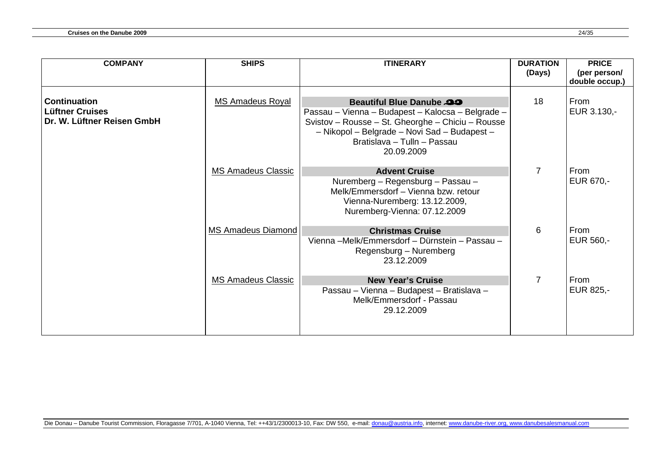| <b>COMPANY</b>                                                       | <b>SHIPS</b>              | <b>ITINERARY</b>                                                                                                                                                                                                                       | <b>DURATION</b><br>(Days) | <b>PRICE</b><br>(per person/<br>double occup.) |
|----------------------------------------------------------------------|---------------------------|----------------------------------------------------------------------------------------------------------------------------------------------------------------------------------------------------------------------------------------|---------------------------|------------------------------------------------|
| <b>Continuation</b><br>Lüftner Cruises<br>Dr. W. Lüftner Reisen GmbH | <b>MS Amadeus Royal</b>   | <b>Beautiful Blue Danube 29</b><br>Passau - Vienna - Budapest - Kalocsa - Belgrade -<br>Svistov - Rousse - St. Gheorghe - Chiciu - Rousse<br>- Nikopol - Belgrade - Novi Sad - Budapest -<br>Bratislava - Tulln - Passau<br>20.09.2009 | 18                        | From<br>EUR 3.130,-                            |
|                                                                      | <b>MS Amadeus Classic</b> | <b>Advent Cruise</b><br>Nuremberg - Regensburg - Passau -<br>Melk/Emmersdorf - Vienna bzw. retour<br>Vienna-Nuremberg: 13.12.2009,<br>Nuremberg-Vienna: 07.12.2009                                                                     | $\overline{7}$            | From<br>EUR 670,-                              |
|                                                                      | MS Amadeus Diamond        | <b>Christmas Cruise</b><br>Vienna - Melk/Emmersdorf - Dürnstein - Passau -<br>Regensburg – Nuremberg<br>23.12.2009                                                                                                                     | 6                         | From<br>EUR 560,-                              |
|                                                                      | <b>MS Amadeus Classic</b> | <b>New Year's Cruise</b><br>Passau - Vienna - Budapest - Bratislava -<br>Melk/Emmersdorf - Passau<br>29.12.2009                                                                                                                        | 7                         | From<br>EUR 825,-                              |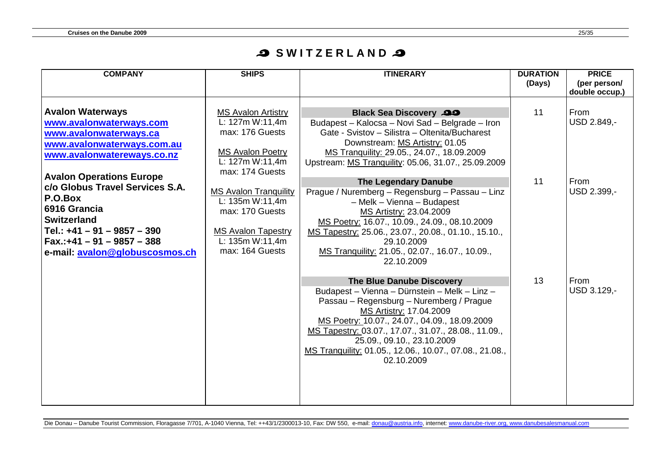## **S SWITZERLAND 2**

| <b>COMPANY</b>                                                                                                                                                                                                 | <b>SHIPS</b>                                                                                                                                             | <b>ITINERARY</b>                                                                                                                                                                                                                                                                                                                                                  | <b>DURATION</b><br>(Days) | <b>PRICE</b><br>(per person/ |
|----------------------------------------------------------------------------------------------------------------------------------------------------------------------------------------------------------------|----------------------------------------------------------------------------------------------------------------------------------------------------------|-------------------------------------------------------------------------------------------------------------------------------------------------------------------------------------------------------------------------------------------------------------------------------------------------------------------------------------------------------------------|---------------------------|------------------------------|
|                                                                                                                                                                                                                |                                                                                                                                                          |                                                                                                                                                                                                                                                                                                                                                                   |                           | double occup.)               |
| <b>Avalon Waterways</b><br>www.avalonwaterways.com<br>www.avalonwaterways.ca<br>www.avalonwaterways.com.au<br>www.avalonwatereways.co.nz                                                                       | <b>MS Avalon Artistry</b><br>L: 127m W:11,4m<br>max: 176 Guests<br><b>MS Avalon Poetry</b><br>L: 127m W:11,4m                                            | <b>Black Sea Discovery 29</b><br>Budapest - Kalocsa - Novi Sad - Belgrade - Iron<br>Gate - Svistov - Silistra - Oltenita/Bucharest<br>Downstream: MS Artistry: 01.05<br>MS Tranquility: 29.05., 24.07., 18.09.2009<br>Upstream: MS Tranquility: 05.06, 31.07., 25.09.2009                                                                                         | 11                        | From<br>USD 2.849,-          |
| <b>Avalon Operations Europe</b><br>c/o Globus Travel Services S.A.<br>P.O.Box<br>6916 Grancia<br>Switzerland<br>Tel.: $+41 - 91 - 9857 - 390$<br> Fax.:+41 – 91 – 9857 – 388<br>e-mail: avalon@globuscosmos.ch | max: 174 Guests<br><b>MS Avalon Tranquility</b><br>L: 135m W:11,4m<br>max: 170 Guests<br><b>MS Avalon Tapestry</b><br>L: 135m W:11,4m<br>max: 164 Guests | <b>The Legendary Danube</b><br>Prague / Nuremberg - Regensburg - Passau - Linz<br>- Melk - Vienna - Budapest<br>MS Artistry: 23.04.2009<br>MS Poetry: 16.07., 10.09., 24.09., 08.10.2009<br>MS Tapestry: 25.06., 23.07., 20.08., 01.10., 15.10.,<br>29.10.2009<br>MS Tranquility: 21.05., 02.07., 16.07., 10.09.,<br>22.10.2009                                   | 11                        | From<br>USD 2.399,-          |
|                                                                                                                                                                                                                |                                                                                                                                                          | The Blue Danube Discovery<br>Budapest - Vienna - Dürnstein - Melk - Linz -<br>Passau - Regensburg - Nuremberg / Prague<br>MS Artistry: 17.04.2009<br>MS Poetry: 10.07., 24.07., 04.09., 18.09.2009<br>MS Tapestry: 03.07., 17.07., 31.07., 28.08., 11.09.,<br>25.09., 09.10., 23.10.2009<br>MS Tranquility: 01.05., 12.06., 10.07., 07.08., 21.08.,<br>02.10.2009 | 13                        | From<br>USD 3.129,-          |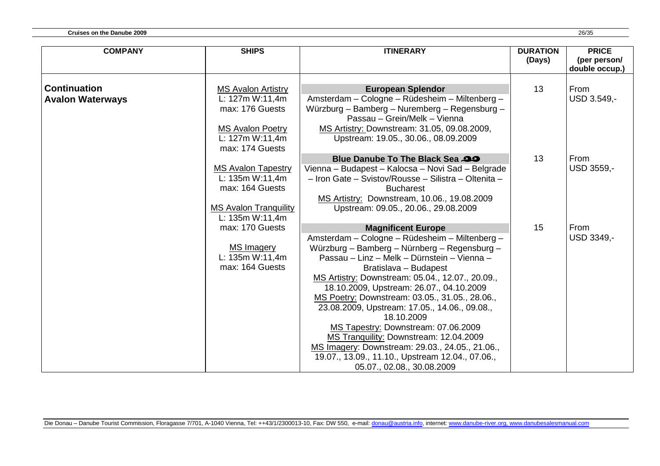| <b>COMPANY</b>          | <b>SHIPS</b>                                                  | <b>ITINERARY</b>                                                                                                                                                                                                                                                                                                                                                                                                                                                                                                                                                                                              | <b>DURATION</b><br>(Days) | <b>PRICE</b><br>(per person/<br>double occup.) |
|-------------------------|---------------------------------------------------------------|---------------------------------------------------------------------------------------------------------------------------------------------------------------------------------------------------------------------------------------------------------------------------------------------------------------------------------------------------------------------------------------------------------------------------------------------------------------------------------------------------------------------------------------------------------------------------------------------------------------|---------------------------|------------------------------------------------|
| <b>Continuation</b>     | <b>MS Avalon Artistry</b>                                     | <b>European Splendor</b>                                                                                                                                                                                                                                                                                                                                                                                                                                                                                                                                                                                      | 13                        | From                                           |
| <b>Avalon Waterways</b> | L: 127m W:11,4m<br>max: 176 Guests                            | Amsterdam - Cologne - Rüdesheim - Miltenberg -<br>Würzburg - Bamberg - Nuremberg - Regensburg -<br>Passau - Grein/Melk - Vienna                                                                                                                                                                                                                                                                                                                                                                                                                                                                               |                           | USD 3.549,-                                    |
|                         | <b>MS Avalon Poetry</b><br>L: 127m W:11,4m<br>max: 174 Guests | MS Artistry: Downstream: 31.05, 09.08.2009,<br>Upstream: 19.05., 30.06., 08.09.2009                                                                                                                                                                                                                                                                                                                                                                                                                                                                                                                           |                           |                                                |
|                         | <b>MS Avalon Tapestry</b>                                     | Blue Danube To The Black Sea 29<br>Vienna - Budapest - Kalocsa - Novi Sad - Belgrade                                                                                                                                                                                                                                                                                                                                                                                                                                                                                                                          | 13                        | From<br>USD 3559,-                             |
|                         | L: 135m W:11,4m<br>max: 164 Guests                            | - Iron Gate - Svistov/Rousse - Silistra - Oltenita -<br><b>Bucharest</b>                                                                                                                                                                                                                                                                                                                                                                                                                                                                                                                                      |                           |                                                |
|                         | <b>MS Avalon Tranquility</b><br>L: 135m W:11,4m               | MS Artistry: Downstream, 10.06., 19.08.2009<br>Upstream: 09.05., 20.06., 29.08.2009                                                                                                                                                                                                                                                                                                                                                                                                                                                                                                                           |                           |                                                |
|                         | max: 170 Guests                                               | <b>Magnificent Europe</b>                                                                                                                                                                                                                                                                                                                                                                                                                                                                                                                                                                                     | 15                        | From                                           |
|                         | <b>MS Imagery</b><br>L: 135m W:11,4m<br>max: 164 Guests       | Amsterdam - Cologne - Rüdesheim - Miltenberg -<br>Würzburg - Bamberg - Nürnberg - Regensburg -<br>Passau - Linz - Melk - Dürnstein - Vienna -<br>Bratislava - Budapest<br>MS Artistry: Downstream: 05.04., 12.07., 20.09.,<br>18.10.2009, Upstream: 26.07., 04.10.2009<br>MS Poetry: Downstream: 03.05., 31.05., 28.06.,<br>23.08.2009, Upstream: 17.05., 14.06., 09.08.,<br>18.10.2009<br>MS Tapestry: Downstream: 07.06.2009<br>MS Tranquility: Downstream: 12.04.2009<br>MS Imagery: Downstream: 29.03., 24.05., 21.06.,<br>19.07., 13.09., 11.10., Upstream 12.04., 07.06.,<br>05.07., 02.08., 30.08.2009 |                           | USD 3349,-                                     |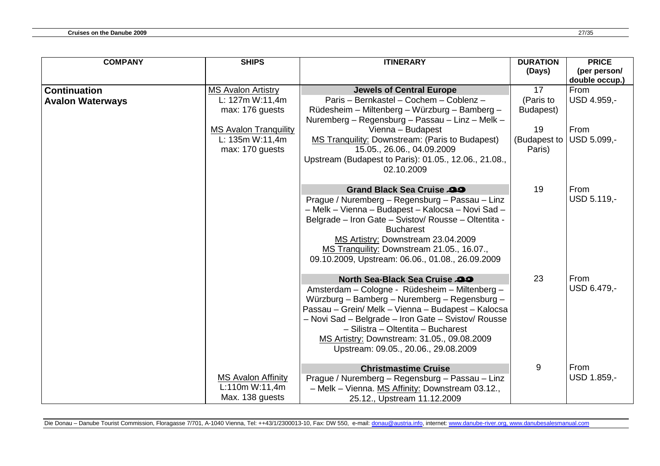| <b>COMPANY</b>                                 | <b>SHIPS</b>                                                                                                       | <b>ITINERARY</b>                                                                                                                                                                                                                                                                                                                                                        | <b>DURATION</b><br>(Days)          | <b>PRICE</b><br>(per person/<br>double occup.) |
|------------------------------------------------|--------------------------------------------------------------------------------------------------------------------|-------------------------------------------------------------------------------------------------------------------------------------------------------------------------------------------------------------------------------------------------------------------------------------------------------------------------------------------------------------------------|------------------------------------|------------------------------------------------|
| <b>Continuation</b><br><b>Avalon Waterways</b> | <b>MS Avalon Artistry</b><br>L: 127m W:11,4m<br>max: 176 guests<br><b>MS Avalon Tranquility</b><br>L: 135m W:11,4m | <b>Jewels of Central Europe</b><br>Paris - Bernkastel - Cochem - Coblenz -<br>Rüdesheim - Miltenberg - Würzburg - Bamberg -<br>Nuremberg - Regensburg - Passau - Linz - Melk -<br>Vienna - Budapest<br>MS Tranquility: Downstream: (Paris to Budapest)                                                                                                                  | 17<br>(Paris to<br>Budapest)<br>19 | From<br>USD 4.959,-<br>From<br>USD 5.099,-     |
|                                                | max: 170 guests                                                                                                    | 15.05., 26.06., 04.09.2009<br>Upstream (Budapest to Paris): 01.05., 12.06., 21.08.,<br>02.10.2009                                                                                                                                                                                                                                                                       | (Budapest to<br>Paris)             |                                                |
|                                                |                                                                                                                    | Grand Black Sea Cruise 29<br>Prague / Nuremberg - Regensburg - Passau - Linz<br>- Melk - Vienna - Budapest - Kalocsa - Novi Sad -<br>Belgrade - Iron Gate - Svistov/ Rousse - Oltentita -<br><b>Bucharest</b><br>MS Artistry: Downstream 23.04.2009<br>MS Tranquility: Downstream 21.05., 16.07.,<br>09.10.2009, Upstream: 06.06., 01.08., 26.09.2009                   | 19                                 | From<br>USD 5.119,-                            |
|                                                |                                                                                                                    | North Sea-Black Sea Cruise<br>Amsterdam - Cologne - Rüdesheim - Miltenberg -<br>Würzburg - Bamberg - Nuremberg - Regensburg -<br>Passau - Grein/ Melk - Vienna - Budapest - Kalocsa<br>- Novi Sad - Belgrade - Iron Gate - Svistov/ Rousse<br>- Silistra - Oltentita - Bucharest<br>MS Artistry: Downstream: 31.05., 09.08.2009<br>Upstream: 09.05., 20.06., 29.08.2009 | 23                                 | From<br>USD 6.479,-                            |
|                                                | <b>MS Avalon Affinity</b><br>L:110m W:11,4m<br>Max. 138 guests                                                     | <b>Christmastime Cruise</b><br>Prague / Nuremberg - Regensburg - Passau - Linz<br>- Melk - Vienna. MS Affinity: Downstream 03.12.,<br>25.12., Upstream 11.12.2009                                                                                                                                                                                                       | 9                                  | From<br>USD 1.859,-                            |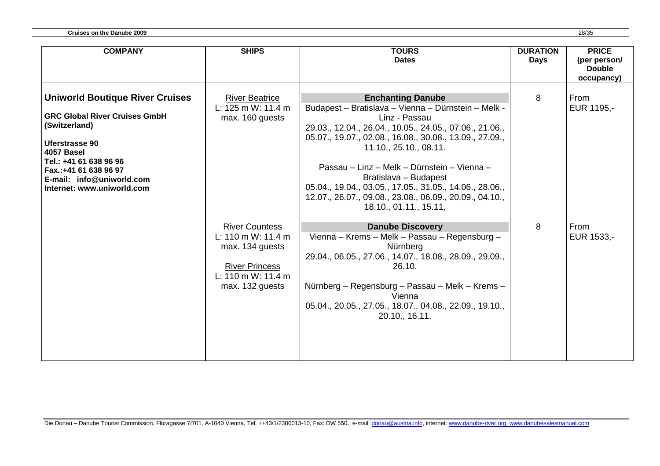| <b>COMPANY</b>                                                                                                                                                                                                                                       | <b>SHIPS</b>                                                                                                                                                                                                            | <b>TOURS</b><br><b>Dates</b>                                                                                                                                                                                                                                                                                                                                                                                                                                                                                                                                                                                                                                                                                                                                                    | <b>DURATION</b><br><b>Days</b> | <b>PRICE</b><br>(per person/<br><b>Double</b><br>occupancy) |
|------------------------------------------------------------------------------------------------------------------------------------------------------------------------------------------------------------------------------------------------------|-------------------------------------------------------------------------------------------------------------------------------------------------------------------------------------------------------------------------|---------------------------------------------------------------------------------------------------------------------------------------------------------------------------------------------------------------------------------------------------------------------------------------------------------------------------------------------------------------------------------------------------------------------------------------------------------------------------------------------------------------------------------------------------------------------------------------------------------------------------------------------------------------------------------------------------------------------------------------------------------------------------------|--------------------------------|-------------------------------------------------------------|
| <b>Uniworld Boutique River Cruises</b><br><b>GRC Global River Cruises GmbH</b><br>(Switzerland)<br><b>Uferstrasse 90</b><br>4057 Basel<br>Tel.: +41 61 638 96 96<br>Fax.:+41 61 638 96 97<br>E-mail: info@uniworld.com<br>Internet: www.uniworld.com | <b>River Beatrice</b><br>L: $125 \text{ m W}$ : $11.4 \text{ m}$<br>max. 160 guests<br><b>River Countess</b><br>L: 110 m W: 11.4 m<br>max. 134 guests<br><b>River Princess</b><br>L: 110 m W: 11.4 m<br>max. 132 guests | <b>Enchanting Danube</b><br>Budapest - Bratislava - Vienna - Dürnstein - Melk -<br>Linz - Passau<br>29.03., 12.04., 26.04., 10.05., 24.05., 07.06., 21.06.,<br>05.07., 19.07., 02.08., 16.08., 30.08., 13.09., 27.09.,<br>11.10., 25.10., 08.11.<br>Passau – Linz – Melk – Dürnstein – Vienna –<br>Bratislava - Budapest<br>05.04., 19.04., 03.05., 17.05., 31.05., 14.06., 28.06.,<br>12.07., 26.07., 09.08., 23.08., 06.09., 20.09., 04.10.,<br>18.10., 01.11., 15.11,<br><b>Danube Discovery</b><br>Vienna – Krems – Melk – Passau – Regensburg –<br>Nürnberg<br>29.04., 06.05., 27.06., 14.07., 18.08., 28.09., 29.09.,<br>26.10.<br>Nürnberg - Regensburg - Passau - Melk - Krems -<br>Vienna<br>05.04., 20.05., 27.05., 18.07., 04.08., 22.09., 19.10.,<br>20.10., 16.11. | 8<br>8                         | From<br>EUR 1195,-<br>From<br>EUR 1533,-                    |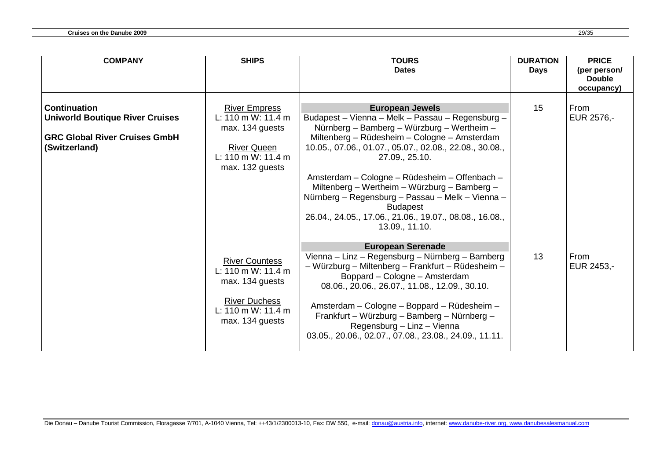| <b>COMPANY</b>                         | <b>SHIPS</b>          | <b>TOURS</b>                                                                               | <b>DURATION</b> | <b>PRICE</b>                  |
|----------------------------------------|-----------------------|--------------------------------------------------------------------------------------------|-----------------|-------------------------------|
|                                        |                       | <b>Dates</b>                                                                               | <b>Days</b>     | (per person/<br><b>Double</b> |
|                                        |                       |                                                                                            |                 | occupancy)                    |
|                                        |                       |                                                                                            |                 |                               |
| <b>Continuation</b>                    | <b>River Empress</b>  | <b>European Jewels</b>                                                                     | 15              | From                          |
| <b>Uniworld Boutique River Cruises</b> | L: 110 m W: 11.4 m    | Budapest - Vienna - Melk - Passau - Regensburg -                                           |                 | EUR 2576,-                    |
| <b>GRC Global River Cruises GmbH</b>   | max. 134 guests       | Nürnberg - Bamberg - Würzburg - Wertheim -<br>Miltenberg - Rüdesheim - Cologne - Amsterdam |                 |                               |
| (Switzerland)                          | <b>River Queen</b>    | 10.05., 07.06., 01.07., 05.07., 02.08., 22.08., 30.08.,                                    |                 |                               |
|                                        | L: 110 m W: 11.4 m    | 27.09., 25.10.                                                                             |                 |                               |
|                                        | max. 132 guests       |                                                                                            |                 |                               |
|                                        |                       | Amsterdam - Cologne - Rüdesheim - Offenbach -                                              |                 |                               |
|                                        |                       | Miltenberg - Wertheim - Würzburg - Bamberg -                                               |                 |                               |
|                                        |                       | Nürnberg - Regensburg - Passau - Melk - Vienna -                                           |                 |                               |
|                                        |                       | <b>Budapest</b>                                                                            |                 |                               |
|                                        |                       | 26.04., 24.05., 17.06., 21.06., 19.07., 08.08., 16.08.,<br>13.09., 11.10.                  |                 |                               |
|                                        |                       |                                                                                            |                 |                               |
|                                        |                       | <b>European Serenade</b>                                                                   |                 |                               |
|                                        | <b>River Countess</b> | Vienna – Linz – Regensburg – Nürnberg – Bamberg                                            | 13              | From                          |
|                                        | L: 110 m W: 11.4 m    | - Würzburg - Miltenberg - Frankfurt - Rüdesheim -                                          |                 | EUR 2453,-                    |
|                                        | max. 134 guests       | Boppard - Cologne - Amsterdam                                                              |                 |                               |
|                                        |                       | 08.06., 20.06., 26.07., 11.08., 12.09., 30.10.                                             |                 |                               |
|                                        | <b>River Duchess</b>  | Amsterdam - Cologne - Boppard - Rüdesheim -                                                |                 |                               |
|                                        | L: 110 m W: 11.4 m    | Frankfurt – Würzburg – Bamberg – Nürnberg –                                                |                 |                               |
|                                        | max. 134 guests       | Regensburg - Linz - Vienna                                                                 |                 |                               |
|                                        |                       | 03.05., 20.06., 02.07., 07.08., 23.08., 24.09., 11.11.                                     |                 |                               |
|                                        |                       |                                                                                            |                 |                               |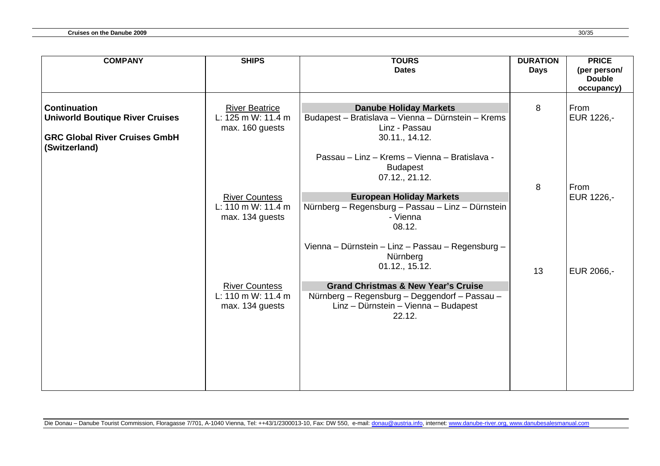| <b>COMPANY</b>                                        | <b>SHIPS</b>                                | <b>TOURS</b>                                       | <b>DURATION</b> | <b>PRICE</b>  |
|-------------------------------------------------------|---------------------------------------------|----------------------------------------------------|-----------------|---------------|
|                                                       |                                             | <b>Dates</b>                                       | <b>Days</b>     | (per person/  |
|                                                       |                                             |                                                    |                 | <b>Double</b> |
|                                                       |                                             |                                                    |                 | occupancy)    |
|                                                       |                                             |                                                    |                 |               |
| <b>Continuation</b>                                   | <b>River Beatrice</b>                       | <b>Danube Holiday Markets</b>                      | 8               | From          |
| <b>Uniworld Boutique River Cruises</b>                | L: 125 m W: 11.4 m                          | Budapest - Bratislava - Vienna - Dürnstein - Krems |                 | EUR 1226,-    |
|                                                       | max. 160 guests                             | Linz - Passau                                      |                 |               |
| <b>GRC Global River Cruises GmbH</b><br>(Switzerland) |                                             | 30.11., 14.12.                                     |                 |               |
|                                                       |                                             | Passau – Linz – Krems – Vienna – Bratislava -      |                 |               |
|                                                       |                                             | <b>Budapest</b>                                    |                 |               |
|                                                       |                                             | 07.12., 21.12.                                     |                 |               |
|                                                       |                                             |                                                    | 8               | From          |
|                                                       | <b>River Countess</b>                       | <b>European Holiday Markets</b>                    |                 | EUR 1226,-    |
|                                                       | L: 110 m W: 11.4 m                          | Nürnberg - Regensburg - Passau - Linz - Dürnstein  |                 |               |
|                                                       | max. 134 guests                             | - Vienna                                           |                 |               |
|                                                       |                                             | 08.12.                                             |                 |               |
|                                                       |                                             |                                                    |                 |               |
|                                                       |                                             | Vienna - Dürnstein - Linz - Passau - Regensburg -  |                 |               |
|                                                       |                                             | Nürnberg                                           |                 |               |
|                                                       |                                             | 01.12., 15.12.                                     | 13              | EUR 2066,-    |
|                                                       |                                             |                                                    |                 |               |
|                                                       | <b>River Countess</b><br>L: 110 m W: 11.4 m | <b>Grand Christmas &amp; New Year's Cruise</b>     |                 |               |
|                                                       |                                             | Nürnberg - Regensburg - Deggendorf - Passau -      |                 |               |
|                                                       | max. 134 guests                             | Linz - Dürnstein - Vienna - Budapest<br>22.12.     |                 |               |
|                                                       |                                             |                                                    |                 |               |
|                                                       |                                             |                                                    |                 |               |
|                                                       |                                             |                                                    |                 |               |
|                                                       |                                             |                                                    |                 |               |
|                                                       |                                             |                                                    |                 |               |
|                                                       |                                             |                                                    |                 |               |
|                                                       |                                             |                                                    |                 |               |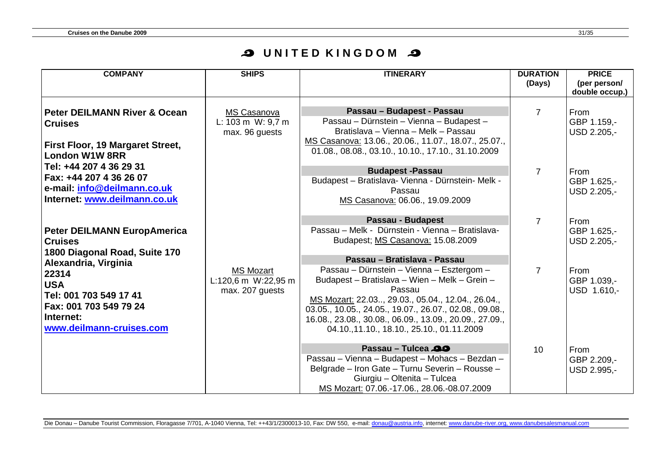## **O UNITED KINGDOM O**

| <b>COMPANY</b>                                                                                                     | <b>SHIPS</b>                                                           | <b>ITINERARY</b>                                                                                                                                                                                                                                                                                                              | <b>DURATION</b><br>(Days) | <b>PRICE</b><br>(per person/<br>double occup.) |
|--------------------------------------------------------------------------------------------------------------------|------------------------------------------------------------------------|-------------------------------------------------------------------------------------------------------------------------------------------------------------------------------------------------------------------------------------------------------------------------------------------------------------------------------|---------------------------|------------------------------------------------|
| Peter DEILMANN River & Ocean<br><b>Cruises</b><br><b>First Floor, 19 Margaret Street,</b><br><b>London W1W 8RR</b> | MS Casanova<br>L: $103 \text{ m}$ W: $9.7 \text{ m}$<br>max. 96 guests | Passau - Budapest - Passau<br>Passau - Dürnstein - Vienna - Budapest -<br>Bratislava - Vienna - Melk - Passau<br>MS Casanova: 13.06., 20.06., 11.07., 18.07., 25.07.,<br>01.08., 08.08., 03.10., 10.10., 17.10., 31.10.2009                                                                                                   | 7                         | From<br>GBP 1.159,-<br>USD 2.205,-             |
| Tel: +44 207 4 36 29 31<br>Fax: +44 207 4 36 26 07<br>e-mail: info@deilmann.co.uk<br>Internet: www.deilmann.co.uk  |                                                                        | <b>Budapest-Passau</b><br>Budapest - Bratislava- Vienna - Dürnstein- Melk -<br>Passau<br>MS Casanova: 06.06., 19.09.2009                                                                                                                                                                                                      | $\overline{7}$            | From<br>GBP 1.625,-<br>USD 2.205,-             |
| Peter DEILMANN EuropAmerica<br><b>Cruises</b><br>1800 Diagonal Road, Suite 170<br>Alexandria, Virginia             |                                                                        | Passau - Budapest<br>Passau – Melk - Dürnstein - Vienna – Bratislava-<br>Budapest; MS Casanova: 15.08.2009<br>Passau - Bratislava - Passau                                                                                                                                                                                    | $\overline{7}$            | From<br>GBP 1.625,-<br>USD 2.205,-             |
| 22314<br><b>USA</b><br>Tel: 001 703 549 17 41<br>Fax: 001 703 549 79 24<br>Internet:<br>www.deilmann-cruises.com   | <b>MS Mozart</b><br>L:120,6 m W:22,95 m<br>max. 207 guests             | Passau - Dürnstein - Vienna - Esztergom -<br>Budapest - Bratislava - Wien - Melk - Grein -<br>Passau<br>MS Mozart: 22.03., 29.03., 05.04., 12.04., 26.04.,<br>03.05., 10.05., 24.05., 19.07., 26.07., 02.08., 09.08.,<br>16.08., 23.08., 30.08., 06.09., 13.09., 20.09., 27.09.,<br>04.10.,11.10., 18.10., 25.10., 01.11.2009 | $\overline{7}$            | From<br>GBP 1.039,-<br>USD 1.610,-             |
|                                                                                                                    |                                                                        | Passau - Tulcea 29<br>Passau - Vienna - Budapest - Mohacs - Bezdan -<br>Belgrade - Iron Gate - Turnu Severin - Rousse -<br>Giurgiu - Oltenita - Tulcea<br>MS Mozart: 07.06.-17.06., 28.06.-08.07.2009                                                                                                                         | 10                        | From<br>GBP 2.209,-<br>USD 2.995,-             |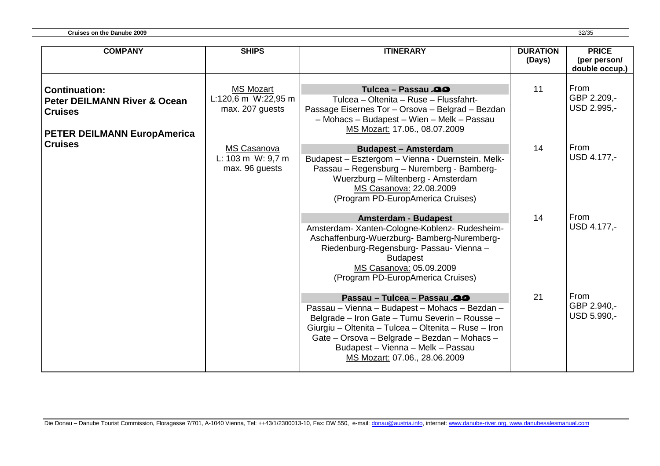**Cruises on the Danube 2009** 32/35

| <b>COMPANY</b>                                                                                                          | <b>SHIPS</b>                                                                  | <b>ITINERARY</b>                                                                                                                                                                                                                                                                                            | <b>DURATION</b><br>(Days) | <b>PRICE</b><br>(per person/<br>double occup.) |
|-------------------------------------------------------------------------------------------------------------------------|-------------------------------------------------------------------------------|-------------------------------------------------------------------------------------------------------------------------------------------------------------------------------------------------------------------------------------------------------------------------------------------------------------|---------------------------|------------------------------------------------|
| <b>Continuation:</b><br><b>Peter DEILMANN River &amp; Ocean</b><br><b>Cruises</b><br><b>PETER DEILMANN EuropAmerica</b> | <b>MS Mozart</b><br>$L:120,6 \text{ m}$ W:22,95 m<br>max. 207 guests          | Tulcea - Passau<br>Tulcea – Oltenita – Ruse – Flussfahrt-<br>Passage Eisernes Tor - Orsova - Belgrad - Bezdan<br>- Mohacs - Budapest - Wien - Melk - Passau<br>MS Mozart: 17.06., 08.07.2009                                                                                                                | 11                        | From<br>GBP 2.209,-<br>USD 2.995,-             |
| <b>Cruises</b>                                                                                                          | <b>MS Casanova</b><br>L: $103 \text{ m}$ W: $9.7 \text{ m}$<br>max. 96 guests | <b>Budapest - Amsterdam</b><br>Budapest - Esztergom - Vienna - Duernstein. Melk-<br>Passau - Regensburg - Nuremberg - Bamberg-<br>Wuerzburg - Miltenberg - Amsterdam<br>MS Casanova: 22.08.2009<br>(Program PD-EuropAmerica Cruises)                                                                        | 14                        | From<br>USD 4.177,-                            |
|                                                                                                                         |                                                                               | <b>Amsterdam - Budapest</b><br>Amsterdam- Xanten-Cologne-Koblenz- Rudesheim-<br>Aschaffenburg-Wuerzburg-Bamberg-Nuremberg-<br>Riedenburg-Regensburg- Passau- Vienna -<br><b>Budapest</b><br>MS Casanova: 05.09.2009<br>(Program PD-EuropAmerica Cruises)                                                    | 14                        | From<br>USD 4.177,-                            |
|                                                                                                                         |                                                                               | Passau - Tulcea - Passau<br>Passau - Vienna - Budapest - Mohacs - Bezdan -<br>Belgrade - Iron Gate - Turnu Severin - Rousse -<br>Giurgiu – Oltenita – Tulcea – Oltenita – Ruse – Iron<br>Gate - Orsova - Belgrade - Bezdan - Mohacs -<br>Budapest - Vienna - Melk - Passau<br>MS Mozart: 07.06., 28.06.2009 | 21                        | From<br>GBP 2.940,-<br>USD 5.990,-             |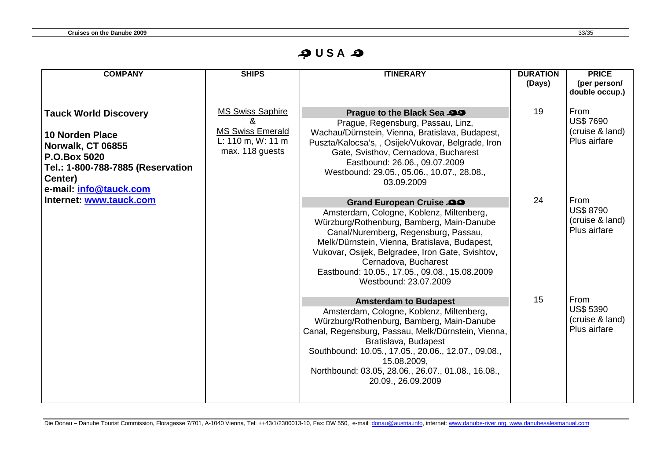**அ U S A அ** 

| <b>COMPANY</b>                                                                                                                                                                                   | <b>SHIPS</b>                                                                               | <b>ITINERARY</b>                                                                                                                                                                                                                                                                                                                                                 | <b>DURATION</b> | <b>PRICE</b>                                                |
|--------------------------------------------------------------------------------------------------------------------------------------------------------------------------------------------------|--------------------------------------------------------------------------------------------|------------------------------------------------------------------------------------------------------------------------------------------------------------------------------------------------------------------------------------------------------------------------------------------------------------------------------------------------------------------|-----------------|-------------------------------------------------------------|
|                                                                                                                                                                                                  |                                                                                            |                                                                                                                                                                                                                                                                                                                                                                  | (Days)          | (per person/<br>double occup.)                              |
| <b>Tauck World Discovery</b><br>10 Norden Place<br>Norwalk, CT 06855<br><b>P.O.Box 5020</b><br>Tel.: 1-800-788-7885 (Reservation<br>Center)<br>e-mail: info@tauck.com<br>Internet: www.tauck.com | <b>MS Swiss Saphire</b><br><b>MS Swiss Emerald</b><br>L: 110 m, W: 11 m<br>max. 118 guests | Prague to the Black Sea 29<br>Prague, Regensburg, Passau, Linz,<br>Wachau/Dürnstein, Vienna, Bratislava, Budapest,<br>Puszta/Kalocsa's, , Osijek/Vukovar, Belgrade, Iron<br>Gate, Svisthov, Cernadova, Bucharest<br>Eastbound: 26.06., 09.07.2009<br>Westbound: 29.05., 05.06., 10.07., 28.08.,<br>03.09.2009                                                    | 19              | From<br><b>US\$7690</b><br>(cruise & land)<br>Plus airfare  |
|                                                                                                                                                                                                  |                                                                                            | Grand European Cruise 29<br>Amsterdam, Cologne, Koblenz, Miltenberg,<br>Würzburg/Rothenburg, Bamberg, Main-Danube<br>Canal/Nuremberg, Regensburg, Passau,<br>Melk/Dürnstein, Vienna, Bratislava, Budapest,<br>Vukovar, Osijek, Belgradee, Iron Gate, Svishtov,<br>Cernadova, Bucharest<br>Eastbound: 10.05., 17.05., 09.08., 15.08.2009<br>Westbound: 23.07.2009 | 24              | From<br><b>US\$ 8790</b><br>(cruise & land)<br>Plus airfare |
|                                                                                                                                                                                                  |                                                                                            | <b>Amsterdam to Budapest</b><br>Amsterdam, Cologne, Koblenz, Miltenberg,<br>Würzburg/Rothenburg, Bamberg, Main-Danube<br>Canal, Regensburg, Passau, Melk/Dürnstein, Vienna,<br>Bratislava, Budapest<br>Southbound: 10.05., 17.05., 20.06., 12.07., 09.08.,<br>15.08.2009,<br>Northbound: 03.05, 28.06., 26.07., 01.08., 16.08.,<br>20.09., 26.09.2009            | 15              | From<br><b>US\$ 5390</b><br>(cruise & land)<br>Plus airfare |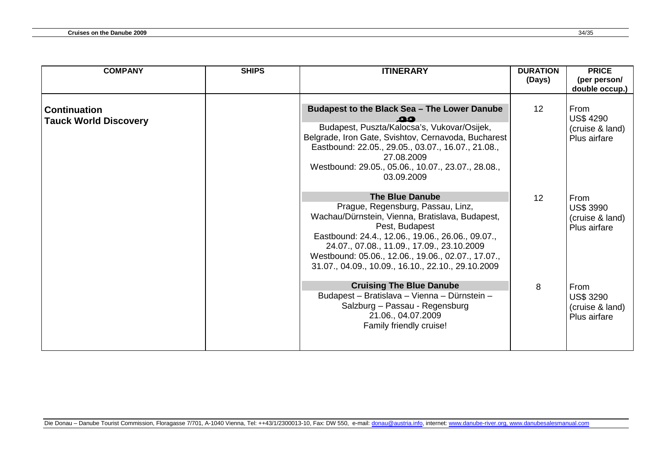| <b>COMPANY</b>                                      | <b>SHIPS</b> | <b>ITINERARY</b>                                                                                                                                                                                                                                                                                                                                | <b>DURATION</b><br>(Days) | <b>PRICE</b><br>(per person/<br>double occup.)              |
|-----------------------------------------------------|--------------|-------------------------------------------------------------------------------------------------------------------------------------------------------------------------------------------------------------------------------------------------------------------------------------------------------------------------------------------------|---------------------------|-------------------------------------------------------------|
| <b>Continuation</b><br><b>Tauck World Discovery</b> |              | Budapest to the Black Sea - The Lower Danube<br>ഛ<br>Budapest, Puszta/Kalocsa's, Vukovar/Osijek,<br>Belgrade, Iron Gate, Svishtov, Cernavoda, Bucharest<br>Eastbound: 22.05., 29.05., 03.07., 16.07., 21.08.,<br>27.08.2009<br>Westbound: 29.05., 05.06., 10.07., 23.07., 28.08.,<br>03.09.2009                                                 | $12 \overline{ }$         | From<br><b>US\$ 4290</b><br>(cruise & land)<br>Plus airfare |
|                                                     |              | <b>The Blue Danube</b><br>Prague, Regensburg, Passau, Linz,<br>Wachau/Dürnstein, Vienna, Bratislava, Budapest,<br>Pest, Budapest<br>Eastbound: 24.4., 12.06., 19.06., 26.06., 09.07.,<br>24.07., 07.08., 11.09., 17.09., 23.10.2009<br>Westbound: 05.06., 12.06., 19.06., 02.07., 17.07.,<br>31.07., 04.09., 10.09., 16.10., 22.10., 29.10.2009 | 12                        | From<br><b>US\$ 3990</b><br>(cruise & land)<br>Plus airfare |
|                                                     |              | <b>Cruising The Blue Danube</b><br>Budapest - Bratislava - Vienna - Dürnstein -<br>Salzburg - Passau - Regensburg<br>21.06., 04.07.2009<br>Family friendly cruise!                                                                                                                                                                              | 8                         | From<br><b>US\$ 3290</b><br>(cruise & land)<br>Plus airfare |